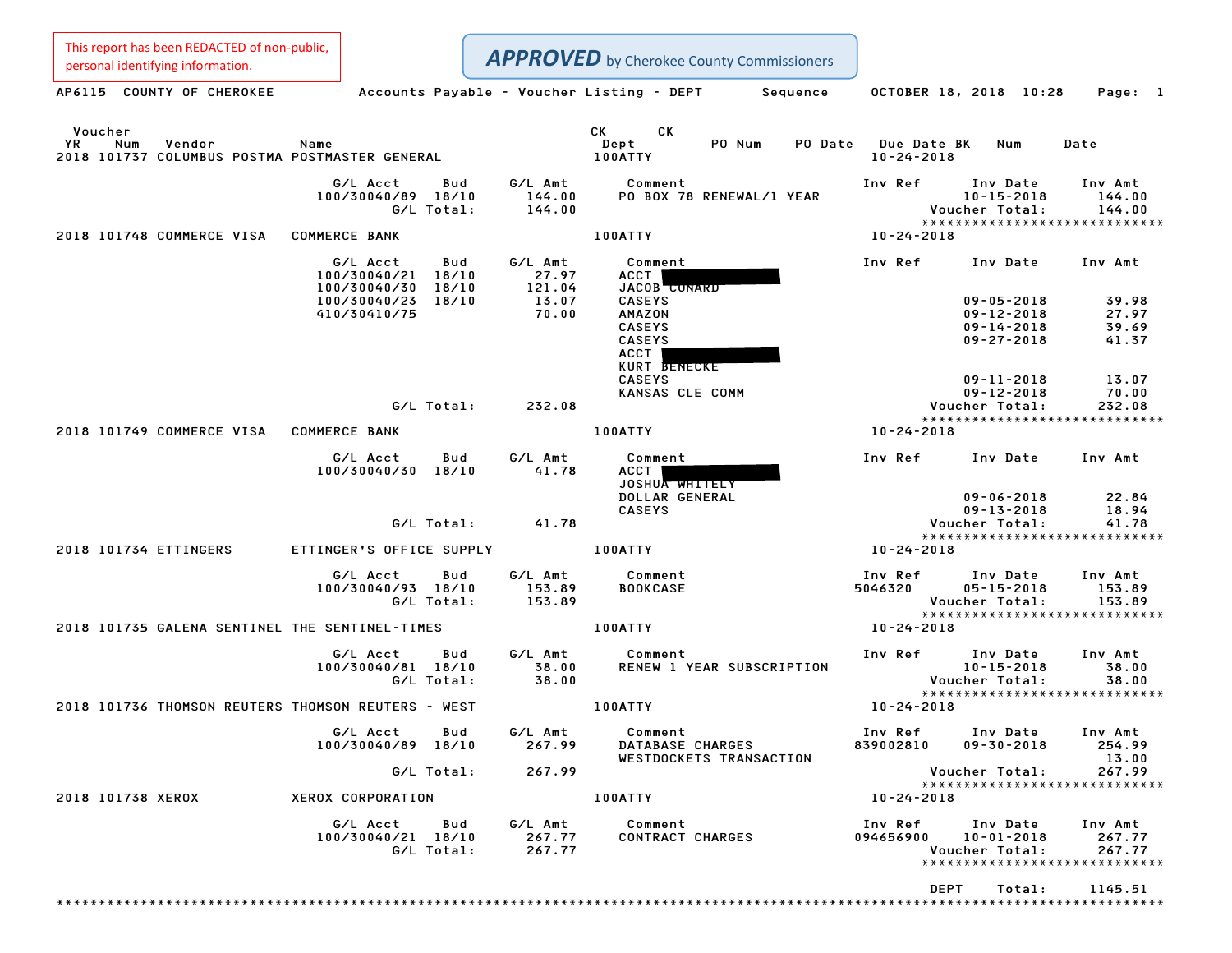This report has been REDACTED of non-public,<br>personal identifying information.

| personal identifying information.                                                |                                                      |                   |                             |                                                                   | <b>APPROVED</b> by Cherokee County Commissioners |          |                                 |                                                                              |                                                              |
|----------------------------------------------------------------------------------|------------------------------------------------------|-------------------|-----------------------------|-------------------------------------------------------------------|--------------------------------------------------|----------|---------------------------------|------------------------------------------------------------------------------|--------------------------------------------------------------|
| AP6115 COUNTY OF CHEROKEE                                                        |                                                      |                   |                             |                                                                   | Accounts Payable – Voucher Listing – DEPT        | Sequence |                                 | OCTOBER 18, 2018 10:28                                                       | Page: 1                                                      |
| Voucher<br>YR<br>Num<br>Vendor<br>2018 101737 COLUMBUS POSTMA POSTMASTER GENERAL | Name                                                 |                   |                             | CK<br>Dept<br>100ATTY                                             | CK<br>PO Num                                     | PO Date  | Due Date BK<br>$10 - 24 - 2018$ | Num                                                                          | Date                                                         |
|                                                                                  | G/L Acct<br>100/30040/89 18/10                       | Bud<br>G/L Total: | G/L Amt<br>144.00<br>144.00 | Comment                                                           | PO BOX 78 RENEWAL/1 YEAR                         |          | Inv Ref                         | Inv Date<br>$10 - 15 - 2018$<br>Voucher Total:                               | Inv Amt<br>144.00<br>144.00<br>***************************** |
| 2018 101748 COMMERCE VISA                                                        | <b>COMMERCE BANK</b>                                 |                   |                             | 100ATTY                                                           |                                                  |          | $10 - 24 - 2018$                |                                                                              |                                                              |
|                                                                                  | G/L Acct<br>100/30040/21 18/10<br>100/30040/30 18/10 | Bud               | G/L Amt<br>27.97<br>121.04  | Comment<br>ACCT                                                   | JACOB CUNARD                                     |          | Inv Ref                         | Inv Date                                                                     | Inv Amt                                                      |
|                                                                                  | 100/30040/23 18/10<br>410/30410/75                   |                   | 13.07<br>70.00              | <b>CASEYS</b><br>AMAZON<br><b>CASEYS</b><br><b>CASEYS</b><br>ACCT | KURT BENECKE                                     |          |                                 | $09 - 05 - 2018$<br>$09 - 12 - 2018$<br>$09 - 14 - 2018$<br>$09 - 27 - 2018$ | 39.98<br>27.97<br>39.69<br>41.37                             |
|                                                                                  |                                                      | G/L Total:        | 232.08                      | <b>CASEYS</b>                                                     | KANSAS CLE COMM                                  |          |                                 | $09 - 11 - 2018$<br>$09 - 12 - 2018$<br>Voucher Total:                       | 13.07<br>70.00<br>232.08                                     |
| 2018 101749 COMMERCE VISA COMMERCE BANK                                          |                                                      |                   |                             | 100ATTY                                                           |                                                  |          | $10 - 24 - 2018$                |                                                                              | *****************************                                |
|                                                                                  | G/L Acct<br>100/30040/30 18/10                       | Bud               | G/L Amt<br>41.78            | Comment<br>ACCT                                                   | JOSHUA WHITELY<br>DOLLAR GENERAL                 |          | Inv Ref                         | Inv Date<br>$09 - 06 - 2018$                                                 | Inv Amt<br>22.84                                             |
|                                                                                  |                                                      | G/L Total:        | 41.78                       | <b>CASEYS</b>                                                     |                                                  |          |                                 | $09 - 13 - 2018$<br>Voucher Total:                                           | 18.94<br>41.78                                               |
| 2018 101734 ETTINGERS                                                            | ETTINGER'S OFFICE SUPPLY                             |                   |                             | 100ATTY                                                           |                                                  |          | $10 - 24 - 2018$                |                                                                              | *****************************                                |
|                                                                                  |                                                      |                   |                             |                                                                   |                                                  |          |                                 |                                                                              |                                                              |
|                                                                                  | G/L Acct<br>100/30040/93 18/10                       | Bud<br>G/L Total: | G/L Amt<br>153.89<br>153.89 | Comment<br><b>BOOKCASE</b>                                        |                                                  |          | Inv Ref<br>5046320              | Inv Date<br>$05 - 15 - 2018$<br>Voucher Total:                               | Inv Amt<br>153.89<br>153.89<br>***************************** |
| 2018 101735 GALENA SENTINEL THE SENTINEL-TIMES                                   |                                                      |                   |                             | 100ATTY                                                           |                                                  |          | 10-24-2018                      |                                                                              |                                                              |
|                                                                                  | G/L Acct<br>100/30040/81 18/10                       | Bud<br>G/L Total: | G/L Amt<br>38.00<br>38.00   | Comment                                                           | RENEW 1 YEAR SUBSCRIPTION                        |          | Inv Ref                         | Inv Date<br>$10 - 15 - 2018$<br>Voucher Total:                               | Inv Amt<br>38.00<br>38.00                                    |
| 2018 101736 THOMSON REUTERS THOMSON REUTERS - WEST                               |                                                      |                   |                             | <b>100ATTY</b>                                                    |                                                  |          | 10-24-2018                      |                                                                              | *****************************                                |
|                                                                                  | G/L Acct<br>100/30040/89 18/10                       | Bud               | G/L Amt<br>267.99           | Comment                                                           | DATABASE CHARGES<br>WESTDOCKETS TRANSACTION      |          | Inv Ref<br>839002810            | Inv Date<br>$09 - 30 - 2018$                                                 | Inv Amt<br>254.99<br>13.00                                   |
|                                                                                  |                                                      | G/L Total:        | 267.99                      |                                                                   |                                                  |          |                                 | Voucher Total:                                                               | 267.99<br>*****************************                      |
| 2018 101738 XEROX                                                                | XEROX CORPORATION                                    |                   |                             | 100ATTY                                                           |                                                  |          | $10 - 24 - 2018$                |                                                                              |                                                              |
|                                                                                  | G/L Acct<br>100/30040/21 18/10                       | Bud<br>G/L Total: | G/L Amt<br>267.77<br>267.77 | Comment                                                           | CONTRACT CHARGES                                 |          | Inv Ref<br>094656900            | Inv Date<br>$10 - 01 - 2018$<br>Voucher Total:                               | Inv Amt<br>267.77<br>267.77<br>***************************** |
|                                                                                  |                                                      |                   |                             |                                                                   |                                                  |          | <b>DEPT</b>                     | Total:                                                                       | 1145.51                                                      |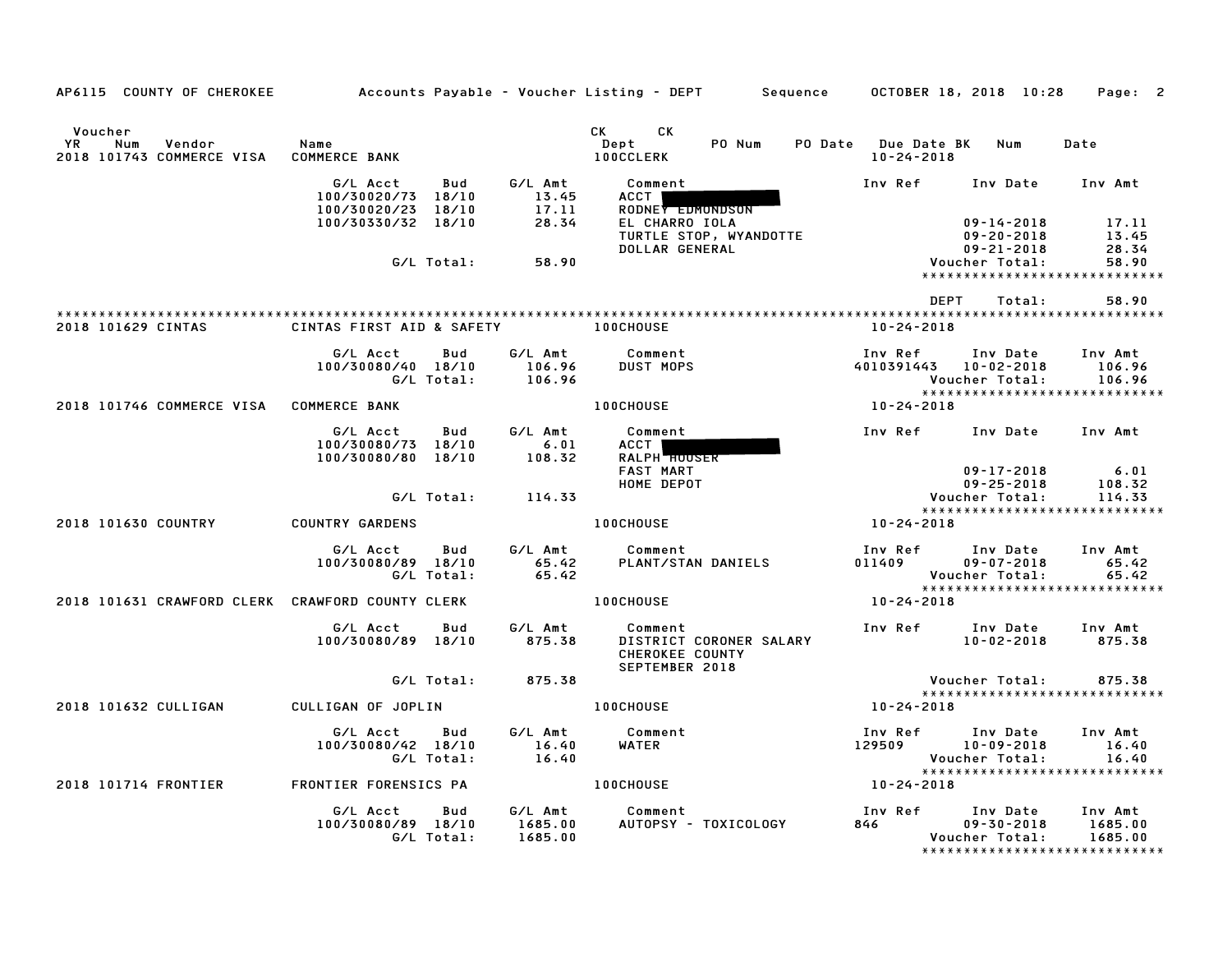| AP6115 COUNTY OF CHEROKEE                                          |                                                      |                   |                               | Accounts Payable – Voucher Listing – DEPT         Sequence       OCTOBER 18, 2018  10:28                                                                                                                                                                                   |                                         |                                                        | Page: 2                                                        |
|--------------------------------------------------------------------|------------------------------------------------------|-------------------|-------------------------------|----------------------------------------------------------------------------------------------------------------------------------------------------------------------------------------------------------------------------------------------------------------------------|-----------------------------------------|--------------------------------------------------------|----------------------------------------------------------------|
| Voucher<br><b>YR</b><br>Num<br>Vendor<br>2018 101743 COMMERCE VISA | Name<br><b>COMMERCE BANK</b>                         |                   |                               | CK and the set of the set of the set of the set of the set of the set of the set of the set of the set of the set of the set of the set of the set of the set of the set of the set of the set of the set of the set of the se<br>СK<br>Dept<br>PO Num<br><b>100CCLERK</b> | PO Date Due Date BK<br>$10 - 24 - 2018$ | Num                                                    | Date                                                           |
|                                                                    | G/L Acct<br>100/30020/73 18/10                       | Bud               | G/L Amt<br>13.45              | Comment<br><b>ACCT</b>                                                                                                                                                                                                                                                     | Inv Ref                                 | Inv Date                                               | Inv Amt                                                        |
|                                                                    | 100/30020/23 18/10<br>100/30330/32 18/10             |                   | 17.11<br>28.34                | RODNEY EDMONDSON<br>EL CHARRO IOLA                                                                                                                                                                                                                                         |                                         | $09 - 14 - 2018$                                       | 17.11                                                          |
|                                                                    |                                                      | G/L Total:        | 58.90                         | TURTLE STOP, WYANDOTTE<br>DOLLAR GENERAL                                                                                                                                                                                                                                   |                                         | $09 - 20 - 2018$<br>$09 - 21 - 2018$<br>Voucher Total: | 13.45<br>28.34<br>58.90                                        |
|                                                                    |                                                      |                   |                               |                                                                                                                                                                                                                                                                            |                                         |                                                        | *****************************                                  |
|                                                                    |                                                      |                   |                               |                                                                                                                                                                                                                                                                            | <b>DEPT</b>                             | Total:                                                 | 58.90                                                          |
| 2018 101629 CINTAS                                                 | CINTAS FIRST AID & SAFETY                            |                   |                               | <b>100CHOUSE</b>                                                                                                                                                                                                                                                           | 10-24-2018                              |                                                        |                                                                |
|                                                                    | G/L Acct<br>100/30080/40 18/10                       | Bud<br>G/L Total: | G/L Amt<br>106.96<br>106.96   | Comment<br><b>DUST MOPS</b>                                                                                                                                                                                                                                                | Inv Ref<br>4010391443                   | Inv Date<br>10-02-2018<br>Voucher Total:               | Inv Amt<br>106.96<br>106.96                                    |
| 2018 101746 COMMERCE VISA COMMERCE BANK                            |                                                      |                   |                               | <b>100CHOUSE</b>                                                                                                                                                                                                                                                           | 10-24-2018                              |                                                        | *****************************                                  |
|                                                                    | G/L Acct<br>100/30080/73 18/10<br>100/30080/80 18/10 | Bud               | G/L Amt<br>6.01<br>108.32     | Comment<br>ACCT I<br><b>RALPH HOUSER</b>                                                                                                                                                                                                                                   | Inv Ref                                 | Inv Date                                               | Inv Amt                                                        |
|                                                                    |                                                      |                   |                               | <b>FAST MART</b><br>HOME DEPOT                                                                                                                                                                                                                                             |                                         | $09 - 17 - 2018$<br>$09 - 25 - 2018$                   | 6.01<br>108.32                                                 |
|                                                                    |                                                      | G/L Total:        | 114.33                        |                                                                                                                                                                                                                                                                            |                                         | Voucher Total:                                         | 114.33<br>*****************************                        |
| 2018 101630 COUNTRY                                                | <b>COUNTRY GARDENS</b>                               |                   |                               | <b>100CHOUSE</b>                                                                                                                                                                                                                                                           | 10-24-2018                              |                                                        |                                                                |
|                                                                    | G/L Acct<br>100/30080/89 18/10                       | Bud<br>G/L Total: | G∕L Amt<br>65.42<br>65.42     | Comment<br>PLANT/STAN DANIELS                                                                                                                                                                                                                                              | Inv Ref<br>011409                       | Inv Date<br>$09 - 07 - 2018$<br>Voucher Total:         | Inv Amt<br>65.42<br>65.42                                      |
| 2018 101631 CRAWFORD CLERK CRAWFORD COUNTY CLERK                   |                                                      |                   |                               | <b>100CHOUSE</b>                                                                                                                                                                                                                                                           | 10-24-2018                              |                                                        | ******************************                                 |
|                                                                    | G/L Acct<br>100/30080/89 18/10                       | Bud               | G/L Amt<br>875.38             | Comment<br>DISTRICT CORONER SALARY<br>CHEROKEE COUNTY<br>SEPTEMBER 2018                                                                                                                                                                                                    | Inv Ref                                 | Inv Date<br>10-02-2018                                 | Inv Amt<br>875.38                                              |
|                                                                    |                                                      | G/L Total:        | 875.38                        |                                                                                                                                                                                                                                                                            |                                         | Voucher Total:                                         | 875.38                                                         |
| 2018 101632 CULLIGAN                                               | CULLIGAN OF JOPLIN                                   |                   |                               | <b>100CHOUSE</b>                                                                                                                                                                                                                                                           | 10-24-2018                              |                                                        | *****************************                                  |
|                                                                    | G/L Acct<br>100/30080/42 18/10                       | Bud<br>G/L Total: | G/L Amt<br>16.40<br>16.40     | Comment<br>WATER                                                                                                                                                                                                                                                           | Inv Ref<br>129509                       | Inv Date<br>10-09-2018<br>Voucher Total:               | Inv Amt<br>16.40<br>16.40                                      |
| 2018 101714 FRONTIER                                               | FRONTIER FORENSICS PA                                |                   |                               | <b>100CHOUSE</b>                                                                                                                                                                                                                                                           | 10-24-2018                              |                                                        | *****************************                                  |
|                                                                    | G/L Acct<br>100/30080/89 18/10                       | Bud<br>G/L Total: | G/L Amt<br>1685.00<br>1685.00 | Comment<br>AUTOPSY - TOXICOLOGY                                                                                                                                                                                                                                            | Inv Ref<br>846                          | Inv Date<br>$09 - 30 - 2018$<br>Voucher Total:         | Inv Amt<br>1685.00<br>1685.00<br>***************************** |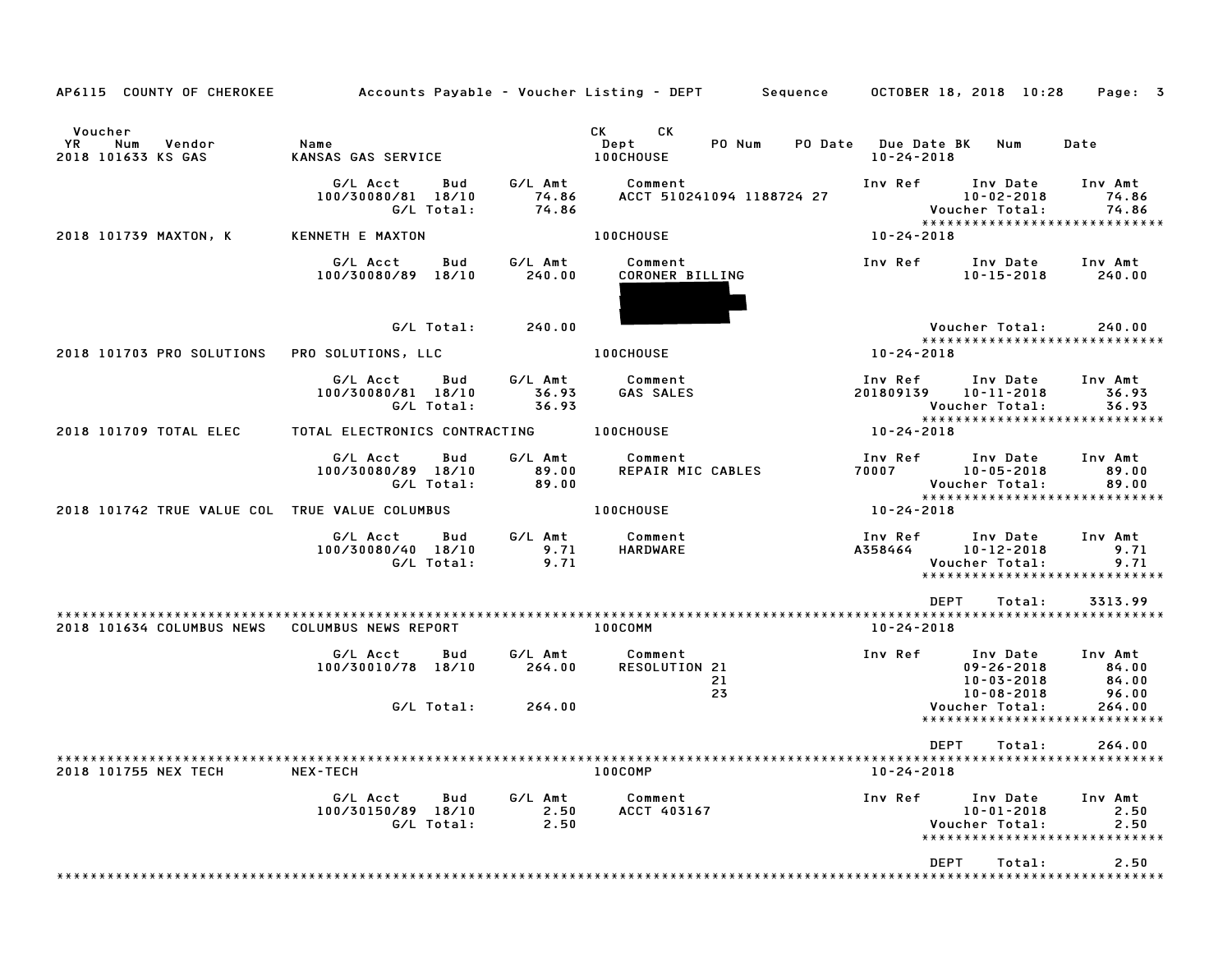| AP6115 COUNTY OF CHEROKEE                                   |                                                     |                           | Accounts Payable – Voucher Listing – DEPT Sequence 0CTOBER 18, 2018 10:28                                                                                                                                                                                                  |                                                                           | Page: 3                                                    |
|-------------------------------------------------------------|-----------------------------------------------------|---------------------------|----------------------------------------------------------------------------------------------------------------------------------------------------------------------------------------------------------------------------------------------------------------------------|---------------------------------------------------------------------------|------------------------------------------------------------|
| Voucher<br><b>YR</b><br>Num<br>Vendor<br>2018 101633 KS GAS | Name<br>KANSAS GAS SERVICE                          |                           | CK<br>CK the control of the control of the control of the control of the control of the control of the control of the control of the control of the control of the control of the control of the control of the control of the contr<br>PO Num<br>Dept<br><b>100CHOUSE</b> | PO Date Due Date BK<br>Num<br>$10 - 24 - 2018$                            | Date                                                       |
|                                                             | G/L Acct<br>Bud<br>100/30080/81 18/10<br>G/L Total: | 74.86<br>74.86            | G/L Amt Comment<br>ACCT 510241094 1188724 27                                                                                                                                                                                                                               | Inv Ref Inv Date<br>$10 - 02 - 2018$<br>Voucher Total:                    | Inv Amt<br>74.86<br>74.86<br>***************************** |
| 2018 101739 MAXTON, K                                       | KENNETH E MAXTON                                    |                           | <b>100CHOUSE</b>                                                                                                                                                                                                                                                           | 10-24-2018                                                                |                                                            |
|                                                             | G/L Acct<br>Bud<br>100/30080/89 18/10               | G/L Amt<br>240.00         | Comment<br>CORONER BILLING                                                                                                                                                                                                                                                 | Inv Ref<br>Inv Date<br>$10 - 15 - 2018$                                   | Inv Amt<br>240.00                                          |
|                                                             | G/L Total:                                          | 240.00                    |                                                                                                                                                                                                                                                                            | Voucher Total:                                                            | 240.00                                                     |
| 2018 101703 PRO SOLUTIONS                                   | PRO SOLUTIONS, LLC                                  |                           | <b>100CHOUSE</b>                                                                                                                                                                                                                                                           | 10-24-2018                                                                | *****************************                              |
|                                                             | G/L Acct<br>Bud<br>100/30080/81 18/10<br>G/L Total: | G/L Amt<br>36.93<br>36.93 | Comment<br>GAS SALES                                                                                                                                                                                                                                                       | Inv Ref<br>Inv Date<br>201809139<br>$10 - 11 - 2018$<br>Voucher Total:    | Inv Amt<br>36.93<br>36.93                                  |
| 2018 101709 TOTAL ELEC                                      | TOTAL ELECTRONICS CONTRACTING 100CHOUSE             |                           |                                                                                                                                                                                                                                                                            | $10 - 24 - 2018$                                                          | *****************************                              |
|                                                             | G/L Acct<br>Bud<br>100/30080/89 18/10<br>G/L Total: | G/L Amt<br>89.00<br>89.00 | Comment<br>REPAIR MIC CABLES                                                                                                                                                                                                                                               | Inv Ref Inv Date<br>70007 10-05-2018<br>Voucher Total:                    | Inv Amt<br>89.00<br>89.00<br>***************************** |
| 2018 101742 TRUE VALUE COL TRUE VALUE COLUMBUS              |                                                     |                           | <b>100CHOUSE</b>                                                                                                                                                                                                                                                           | 10-24-2018                                                                |                                                            |
|                                                             | G/L Acct<br>Bud<br>100/30080/40 18/10<br>G/L Total: | G/L Amt<br>9.71<br>9.71   | Comment<br>HARDWARE                                                                                                                                                                                                                                                        | Inv Ref      Inv Date<br>A358464<br>10-12-2018<br>Voucher Total:          | Inv Amt<br>9.71<br>9.71<br>*****************************   |
|                                                             |                                                     |                           |                                                                                                                                                                                                                                                                            | <b>DEPT</b><br>Total:                                                     | 3313.99                                                    |
| 2018 101634 COLUMBUS NEWS                                   | COLUMBUS NEWS REPORT                                |                           | 100COMM                                                                                                                                                                                                                                                                    | 10-24-2018                                                                |                                                            |
|                                                             | G/L Acct<br>Bud<br>100/30010/78 18/10               | G/L Amt<br>264.00         | Comment<br>RESOLUTION 21<br>21<br>23                                                                                                                                                                                                                                       | Inv Ref<br>Inv Date<br>$09 - 26 - 2018$<br>10-03-2018<br>$10 - 08 - 2018$ | Inv Amt<br>84.00<br>84.00<br>96.00                         |
|                                                             | G/L Total:                                          | 264.00                    |                                                                                                                                                                                                                                                                            | Voucher Total:                                                            | 264.00<br>*****************************                    |
|                                                             |                                                     |                           |                                                                                                                                                                                                                                                                            | DEPT<br>Total:                                                            | 264.00                                                     |
| 2018 101755 NEX TECH                                        | <b>NEX-TECH</b>                                     |                           | 100COMP                                                                                                                                                                                                                                                                    | $10 - 24 - 2018$                                                          |                                                            |
|                                                             | G/L Acct<br>Bud<br>100/30150/89 18/10<br>G/L Total: | G/L Amt<br>2.50<br>2.50   | Comment<br>ACCT 403167                                                                                                                                                                                                                                                     | Inv Ref<br>Inv Date<br>$10 - 01 - 2018$<br>Voucher Total:                 | Inv Amt<br>2.50<br>2.50<br>*****************************   |
|                                                             |                                                     |                           |                                                                                                                                                                                                                                                                            | DEPT<br>Total:                                                            | 2.50                                                       |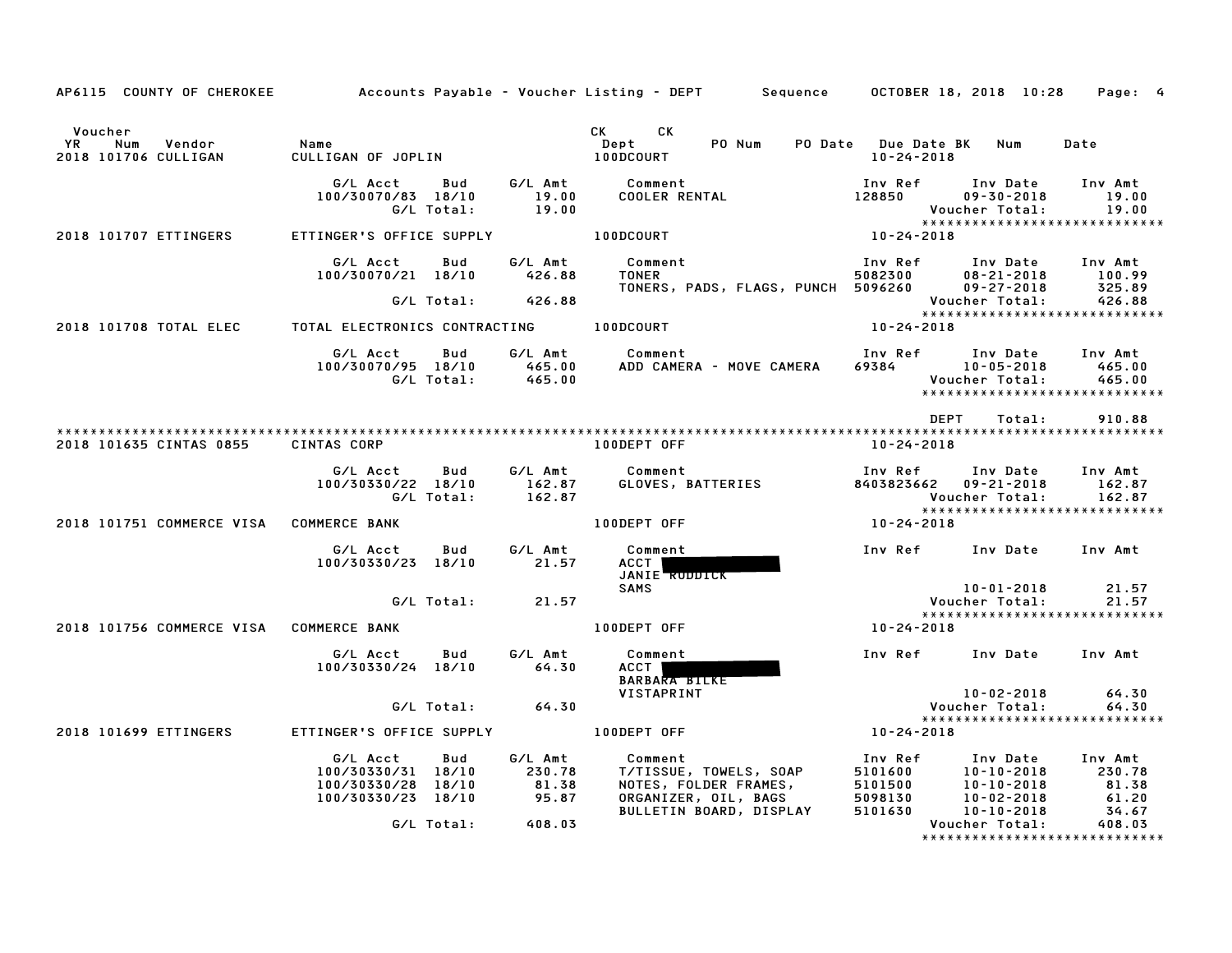|                                                                    |                                                                |                          | AP6115 COUNTY OF CHEROKEE Accounts Payable - Voucher Listing - DEPT Sequence OCTOBER 18, 2018 10:28        |                                                           |                                                             | Page: 4                                           |
|--------------------------------------------------------------------|----------------------------------------------------------------|--------------------------|------------------------------------------------------------------------------------------------------------|-----------------------------------------------------------|-------------------------------------------------------------|---------------------------------------------------|
| Voucher<br>YR Num Vendor<br>2018 101706 CULLIGAN                   | Name<br>CULLIGAN OF JOPLIN                                     |                          | CK CK<br>Dept<br>PO Num<br>100DCOURT                                                                       | PO Date Due Date BK Num<br>10-24-2018                     |                                                             | Date                                              |
|                                                                    | G/L Acct<br>Bud<br>100/30070/83 18/10<br>G/L Total:            | 19.00<br>19.00           | G/L Amt Comment<br>COOLER RENTAL                                                                           | Inv Ref<br>128850                                         | Inv Date<br>$09 - 30 - 2018$<br>Voucher Total:              | Inv Amt<br>19.00<br>19.00                         |
| 2018 101707 ETTINGERS                                              | ETTINGER'S OFFICE SUPPLY                                       |                          | 100DCOURT                                                                                                  | $10 - 24 - 2018$                                          |                                                             | ******************************                    |
|                                                                    | G/L Acct<br><b>Bud</b><br>100/30070/21 18/10                   | G/L Amt<br>426.88        | Comment                                                                                                    | Inv Ref                                                   | Inv Date Inv Amt                                            |                                                   |
|                                                                    | G/L Total: 426.88                                              |                          |                                                                                                            |                                                           | Voucher Total:                                              | 426.88                                            |
| 2018 101708 TOTAL ELEC   TOTAL ELECTRONICS CONTRACTING   100DCOURT |                                                                |                          |                                                                                                            | 10-24-2018                                                |                                                             |                                                   |
|                                                                    | G/L Acct<br>Bud                                                |                          | G/L Amt Comment<br>100/30070/95 18/10 465.00 ADD CAMERA - MOVE CAMERA<br>G/L Total: 465.00                 | Inv Ref      Inv Date     Inv Amt<br>$69384$ $10-05-2018$ | Voucher Total:                                              | 465.00<br>465.00<br>***************************** |
|                                                                    |                                                                |                          |                                                                                                            | DEPT                                                      | Total:                                                      | 910.88                                            |
| 2018 101635 CINTAS 0855                                            | <b>CINTAS CORP</b>                                             |                          | 100DEPT OFF                                                                                                | 10-24-2018                                                |                                                             |                                                   |
|                                                                    | G/L Acct<br>Bud<br>100/30330/22 18/10<br>G/L Total:            | 162.87<br>162.87         | G/L Amt Comment<br>GLOVES, BATTERIES                                                                       | Inv Ref<br>8403823662 09-21-2018                          | Inv Date<br>Voucher Total:                                  | Inv Amt<br>162.87<br>162.87                       |
| 2018 101751 COMMERCE VISA COMMERCE BANK                            |                                                                |                          | 100DEPT OFF                                                                                                | 10-24-2018                                                |                                                             | *****************************                     |
|                                                                    | G/L Acct<br>Bud<br>100/30330/23 18/10 21.57                    | G/L Amt                  | Comment<br>ACCT I<br>JANIE RUDDICK                                                                         | Inv Ref Inv Date Inv Amt                                  |                                                             |                                                   |
|                                                                    |                                                                |                          | <b>SAMS</b>                                                                                                |                                                           | 10-01-2018<br>Voucher Total:                                | 21.57<br>21.57                                    |
| 2018 101756 COMMERCE VISA COMMERCE BANK                            |                                                                |                          | 100DEPT OFF                                                                                                | $10 - 24 - 2018$                                          |                                                             | *****************************                     |
|                                                                    | G/L Acct<br>Bud<br>100/30330/24 18/10 64.30                    | G/L Amt                  | Comment<br>ACCT  <br><b>BARBARA BILKE</b>                                                                  | Inv Ref Inv Date Inv Amt                                  |                                                             |                                                   |
|                                                                    |                                                                |                          | VISTAPRINT                                                                                                 |                                                           | 10-02-2018<br>Voucher Total:                                | 64.30<br>64.30                                    |
| 2018 101699 ETTINGERS                                              | ETTINGER'S OFFICE SUPPLY THE RODEPT OFF                        |                          |                                                                                                            | $10 - 24 - 2018$                                          |                                                             | *****************************                     |
|                                                                    | G/L Acct<br>Bud                                                | G/L Amt                  | Comment                                                                                                    | Inv Ref                                                   | Inv Date Inv Amt                                            |                                                   |
|                                                                    | 100/30330/31 18/10<br>100/30330/28 18/10<br>100/30330/23 18/10 | 230.78<br>81.38<br>95.87 | COMMENT<br>T/TISSUE, TOWELS, SOAP<br>NOTES, FOLDER FRAMES,<br>ORGANIZER, OIL, BAGS<br>ORGANIZER, OIL, BAGS | 5101600<br>5101500<br>5098130<br>5101630                  | $10 - 10 - 2018$<br>$10 - 10 - 2018$<br>81.38<br>10-02-2018 | 61.20                                             |
|                                                                    | G/L Total:                                                     | 408.03                   | BULLETIN BOARD, DISPLAY                                                                                    |                                                           | $10 - 10 - 2018$<br>Voucher Total:                          | 34.67<br>408.03<br>*****************************  |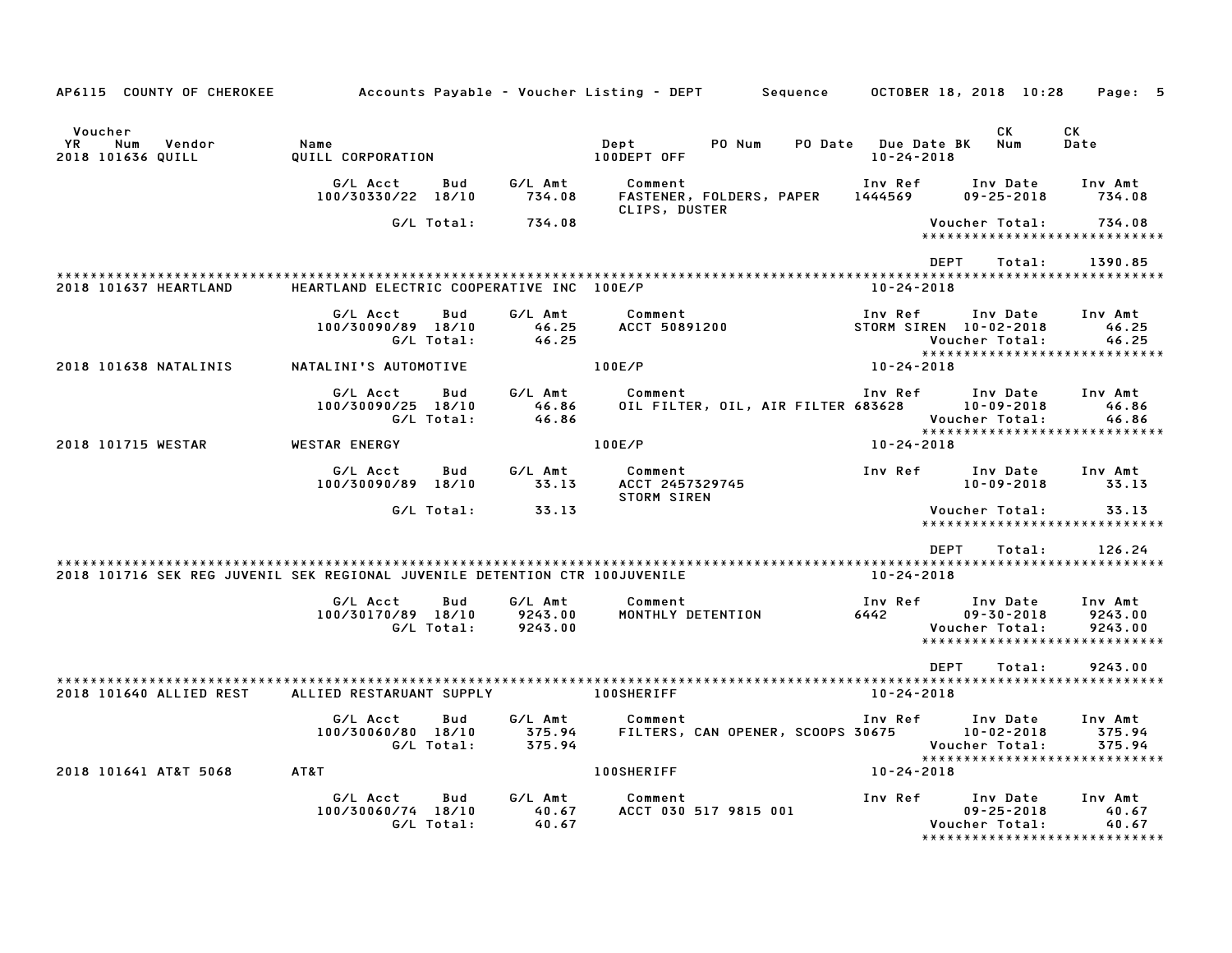| AP6115 COUNTY OF CHEROKEE                                                   |                                              |                                      | Accounts Payable – Voucher Listing – DEPT         Sequence |                                         | OCTOBER 18, 2018 10:28                         | Page: 5                                                        |
|-----------------------------------------------------------------------------|----------------------------------------------|--------------------------------------|------------------------------------------------------------|-----------------------------------------|------------------------------------------------|----------------------------------------------------------------|
| Voucher<br>YR.<br>Num<br>Vendor<br>2018 101636 QUILL                        | Name<br>QUILL CORPORATION                    |                                      | Dept<br>PO Num<br>100DEPT OFF                              | PO Date Due Date BK<br>$10 - 24 - 2018$ | СK<br>Num                                      | CK<br>Date                                                     |
|                                                                             | G/L Acct<br>100/30330/22 18/10               | G/L Amt<br>Bud<br>734.08             | Comment<br>FASTENER, FOLDERS, PAPER                        | Inv Ref<br>1444569                      | Inv Date<br>$09 - 25 - 2018$                   | Inv Amt<br>734.08                                              |
|                                                                             | G/L Total:                                   | 734.08                               | CLIPS, DUSTER                                              |                                         | Voucher Total:                                 | 734.08<br>******************************                       |
|                                                                             |                                              |                                      |                                                            | <b>DEPT</b>                             | Total:                                         | 1390.85                                                        |
| 2018 101637 HEARTLAND                                                       | HEARTLAND ELECTRIC COOPERATIVE INC 100E/P    |                                      |                                                            | $10 - 24 - 2018$                        |                                                |                                                                |
|                                                                             | G/L Acct<br>100/30090/89 18/10<br>G/L Total: | Bud<br>G/L Amt<br>46.25<br>46.25     | Comment<br><b>ACCT 50891200</b>                            | Inv Ref<br>STORM SIREN 10-02-2018       | Inv Date<br>Voucher Total:                     | Inv Amt<br>46.25<br>46.25                                      |
| 2018 101638 NATALINIS                                                       | NATALINI'S AUTOMOTIVE                        |                                      | 100E/P                                                     | 10-24-2018                              |                                                | *****************************                                  |
|                                                                             | G/L Acct<br>100/30090/25 18/10<br>G/L Total: | G/L Amt<br>Bud<br>46.86<br>46.86     | Comment<br>OIL FILTER, OIL, AIR FILTER 683628              | Inv Ref                                 | Inv Date<br>$10 - 09 - 2018$<br>Voucher Total: | Inv Amt<br>46.86<br>46.86                                      |
| 2018 101715 WESTAR                                                          | <b>WESTAR ENERGY</b>                         |                                      | 100E/P                                                     | $10 - 24 - 2018$                        |                                                | ******************************                                 |
|                                                                             | G/L Acct<br>100/30090/89 18/10               | G/L Amt<br>Bud<br>33.13              | Comment<br>ACCT 2457329745<br><b>STORM SIREN</b>           | Inv Ref                                 | Inv Date<br>$10 - 09 - 2018$                   | Inv Amt<br>33.13                                               |
|                                                                             | G/L Total:                                   | 33.13                                |                                                            |                                         | Voucher Total:                                 | 33.13<br>*****************************                         |
|                                                                             |                                              |                                      |                                                            | <b>DEPT</b>                             | Total:                                         | 126.24                                                         |
| 2018 101716 SEK REG JUVENIL SEK REGIONAL JUVENILE DETENTION CTR 100JUVENILE |                                              |                                      |                                                            | 10-24-2018                              |                                                |                                                                |
|                                                                             | G/L Acct<br>100/30170/89 18/10<br>G/L Total: | G/L Amt<br>Bud<br>9243.00<br>9243.00 | Comment<br>MONTHLY DETENTION                               | Inv Ref<br>6442                         | Inv Date<br>$09 - 30 - 2018$<br>Voucher Total: | Inv Amt<br>9243.00<br>9243.00<br>***************************** |
|                                                                             |                                              |                                      |                                                            | <b>DEPT</b>                             | Total:                                         | 9243.00                                                        |
| 2018 101640 ALLIED REST                                                     | ALLIED RESTARUANT SUPPLY                     |                                      | <b>100SHERIFF</b>                                          | $10 - 24 - 2018$                        |                                                |                                                                |
|                                                                             | G/L Acct<br>100/30060/80 18/10<br>G/L Total: | Bud<br>G/L Amt<br>375.94<br>375.94   | Comment<br>FILTERS, CAN OPENER, SCOOPS 30675               | Inv Ref                                 | Inv Date<br>$10 - 02 - 2018$<br>Voucher Total: | Inv Amt<br>375.94<br>375.94                                    |
| 2018 101641 AT&T 5068                                                       | AT&T                                         |                                      | 100SHERIFF                                                 | 10-24-2018                              |                                                | ******************************                                 |
|                                                                             | G/L Acct<br>100/30060/74 18/10<br>G/L Total: | G/L Amt<br>Bud<br>40.67<br>40.67     | Comment<br>ACCT 030 517 9815 001                           | Inv Ref                                 | Inv Date<br>$09 - 25 - 2018$<br>Voucher Total: | Inv Amt<br>40.67<br>40.67<br>*******************************   |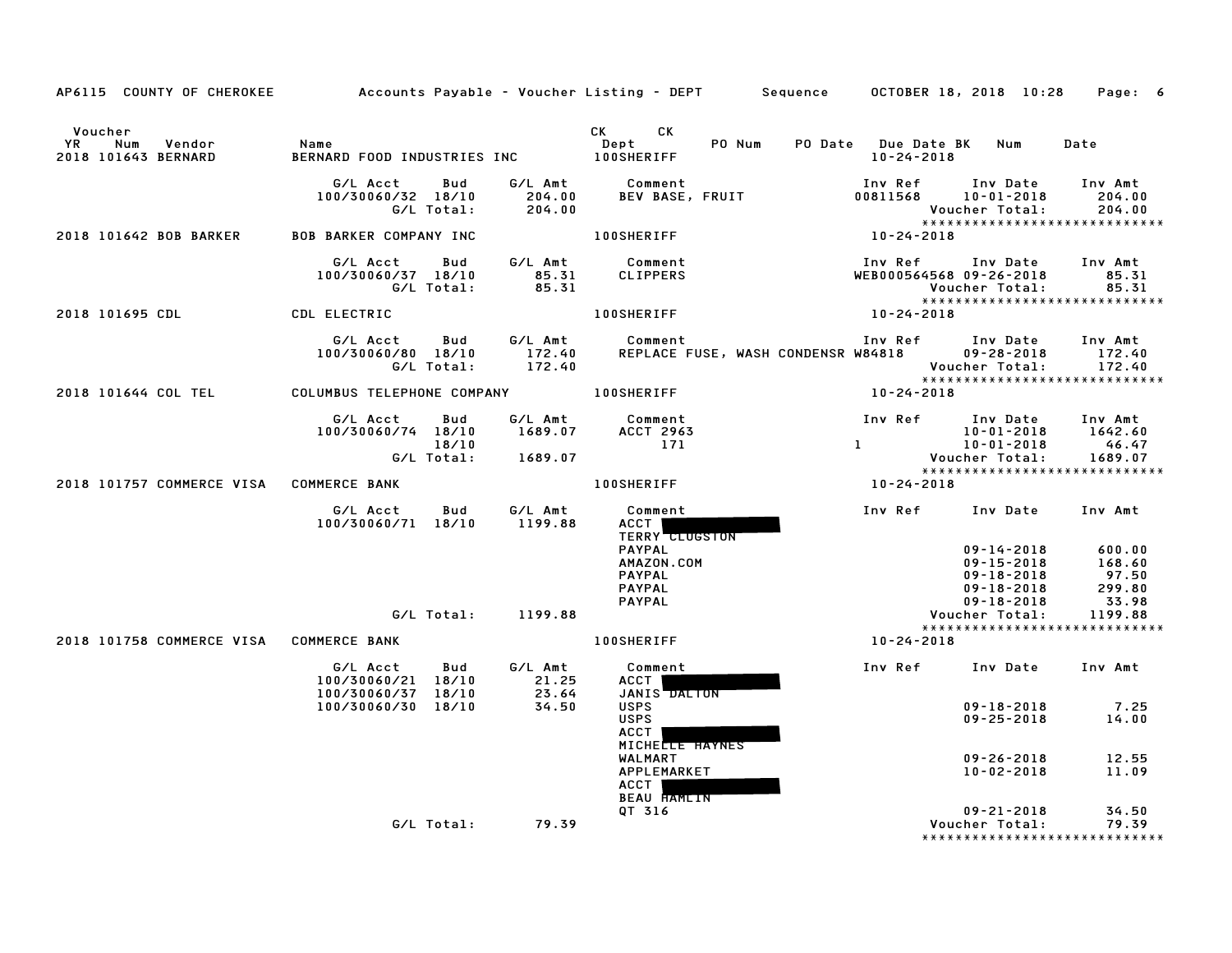|                                                           |                                                                                |                               | AP6115 COUNTY OF CHEROKEE Accounts Payable - Voucher Listing - DEPT Sequence 0CTOBER 18, 2018 10:28 Page: 6                                                                                                                                                                          |                                                                                                      |                                                                                       |                                                                 |
|-----------------------------------------------------------|--------------------------------------------------------------------------------|-------------------------------|--------------------------------------------------------------------------------------------------------------------------------------------------------------------------------------------------------------------------------------------------------------------------------------|------------------------------------------------------------------------------------------------------|---------------------------------------------------------------------------------------|-----------------------------------------------------------------|
| Voucher<br>YR Num<br>Vendor<br>2018 101643 BERNARD        | Name                                                                           |                               | CK CK<br>Dept<br>PO Num PO Date Due Date BK Num<br>BERNARD FOOD INDUSTRIES INC DEPLATION TO NUMBER PORT OF THE RESERVED ON THE RESERVED ON THE RESERVED ON THE RE<br>In the same of the served of the served of the served of the served of the served of the served of the served o | 10-24-2018                                                                                           |                                                                                       | Date                                                            |
|                                                           | G/L Acct<br>Bud<br>100/30060/32 18/10<br>G/L Total:                            | 204.00<br>204.00              | G/L Amt Comment<br>BEV BASE, FRUIT                                                                                                                                                                                                                                                   | Inv Ref<br>00811568 10-01-2018                                                                       | Inv Date Inv Amt<br>Voucher Total:                                                    | 204.00<br>204.00                                                |
| 2018 101642 BOB BARKER                                    | <b>BOB BARKER COMPANY INC</b>                                                  |                               | 100SHERIFF                                                                                                                                                                                                                                                                           | 10-24-2018                                                                                           |                                                                                       | *****************************                                   |
|                                                           | G/L Acct<br>Bud<br>100/30060/37 18/10<br>G/L Total:                            | $85.31$<br>$85.31$            | G/L Amt Comment<br>CLIPPERS                                                                                                                                                                                                                                                          | Inv Ref      Inv Date<br>WEB000564568 09-26-2018                                                     | Voucher Total:                                                                        | Inv Amt<br>85.31<br>85.31                                       |
| 2018 101695 CDL CDL ELECTRIC                              |                                                                                |                               | 100SHERIFF NAME OF STREET                                                                                                                                                                                                                                                            | 10-24-2018                                                                                           |                                                                                       |                                                                 |
|                                                           | G/L Acct Bud G/L Amt Comment<br>100/30060/80 18/10 172.40<br>G/L Total: 172.40 |                               | REPLACE FUSE, WASH CONDENSR W84818 09-28-2018                                                                                                                                                                                                                                        | Inv Ref Inv Date Inv Amt                                                                             |                                                                                       | 172.40<br>Voucher Total: 172.40<br>**************************** |
| 2018 101644 COL TEL COLUMBUS TELEPHONE COMPANY 100SHERIFF |                                                                                |                               |                                                                                                                                                                                                                                                                                      | 10-24-2018                                                                                           |                                                                                       |                                                                 |
|                                                           | G/L Acct Bud<br>100/30060/74 18/10<br>18/10                                    | 1689.07<br>G/L Total: 1689.07 | G/L Amt Comment<br><b>ACCT 2963</b><br>171                                                                                                                                                                                                                                           | Inv Ref Inv Date<br>1642.60 10-01-2018 1642.60<br>10-01-2018 46.47<br>1689.07 Voucher Total: 1689.07 |                                                                                       | Inv Amt                                                         |
| 2018 101757 COMMERCE VISA COMMERCE BANK                   |                                                                                |                               | 100SHERIFF                                                                                                                                                                                                                                                                           | 10-24-2018                                                                                           |                                                                                       |                                                                 |
|                                                           | G/L Acct<br>Bud<br>100/30060/71 18/10                                          | G/L Amt<br>1199.88            | Comment<br>ACCT  <br><b>TERRY CLUGSTON</b><br><b>PAYPAL</b><br>AMAZON.COM<br><b>PAYPAL</b><br><b>PAYPAL</b><br>PAYPAL                                                                                                                                                                | Inv Ref      Inv Date     Inv Amt                                                                    | $09 - 14 - 2018$ 600.00<br>09-15-2018<br>09-18-2018<br>09-18-2018<br>$09 - 18 - 2018$ | $168.60$<br>97.50<br>299.80<br>33.98                            |
|                                                           |                                                                                | G/L Total: 1199.88            |                                                                                                                                                                                                                                                                                      |                                                                                                      | Voucher Total:                                                                        | 1199.88<br>*****************************                        |
| 2018 101758 COMMERCE VISA COMMERCE BANK                   |                                                                                |                               | <b>100SHERIFF</b>                                                                                                                                                                                                                                                                    | 10-24-2018                                                                                           |                                                                                       |                                                                 |
|                                                           | G/L Acct<br><b>Bud</b><br>100/30060/21 18/10<br>100/30060/37 18/10             | G/L Amt<br>21.25<br>23.64     | Comment<br>ACCT<br>JANIS DALTON                                                                                                                                                                                                                                                      |                                                                                                      | Inv Ref Inv Date Inv Amt                                                              |                                                                 |
|                                                           | 100/30060/30 18/10                                                             | 34.50                         | <b>USPS</b><br><b>USPS</b><br><b>ACCT</b><br>MICHELLE HAYNES<br>WALMART<br>APPLEMARKET                                                                                                                                                                                               |                                                                                                      | $09 - 18 - 2018$<br>$09 - 25 - 2018$ 14.00<br>$09 - 26 - 2018$ 12.55<br>10-02-2018    | 7.25<br>11.09                                                   |
|                                                           |                                                                                |                               | ACCT<br><b>BEAU HAMLIN</b><br>QT 316                                                                                                                                                                                                                                                 |                                                                                                      | $09 - 21 - 2018$                                                                      | 34.50                                                           |
|                                                           |                                                                                | G/L Total: 79.39              |                                                                                                                                                                                                                                                                                      |                                                                                                      | Voucher Total:                                                                        | 79.39<br>******************************                         |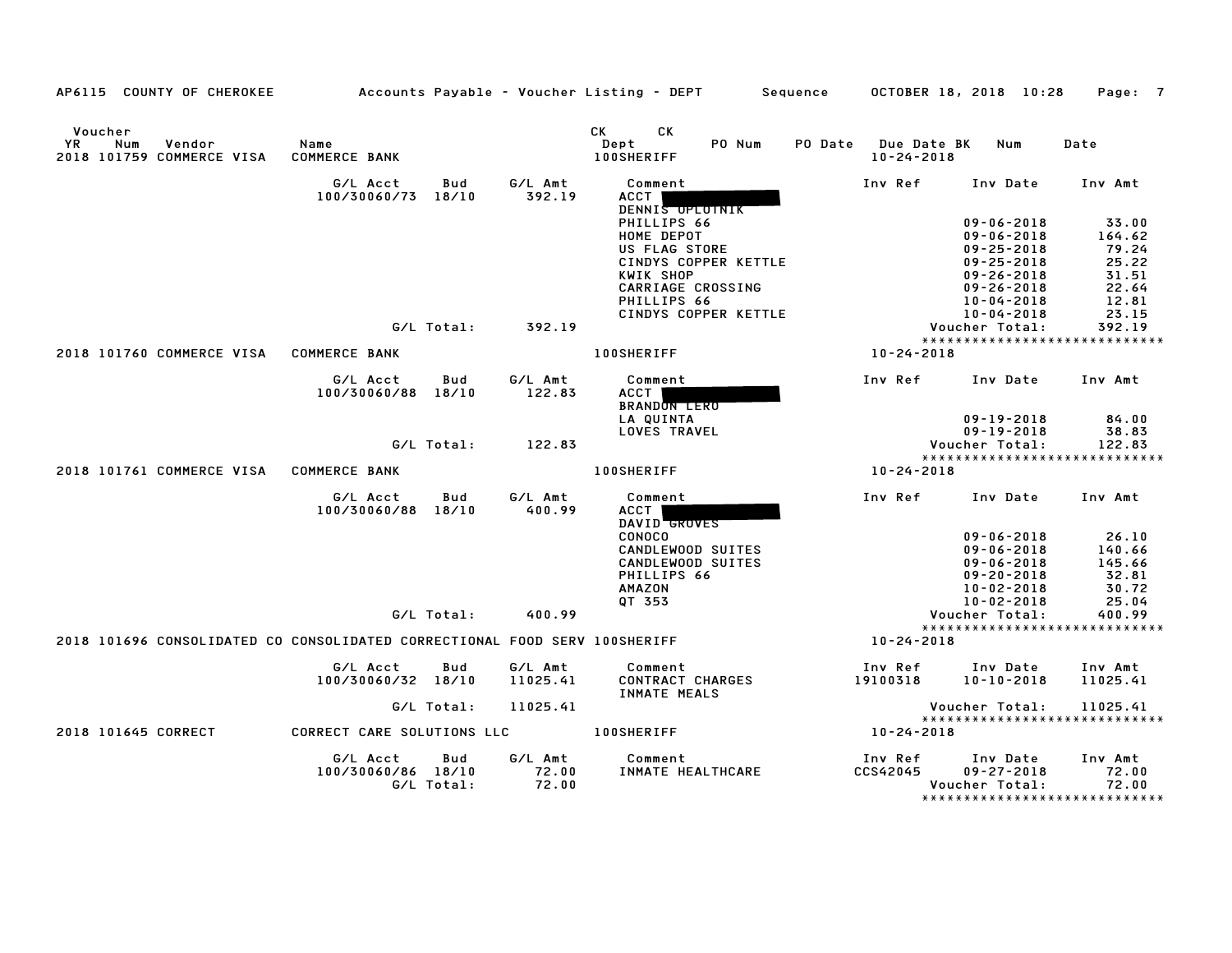| AP6115 COUNTY OF CHEROKEE                                                  |                                |                   |                           | Accounts Payable - Voucher Listing - DEPT              | Sequence |                                         | OCTOBER 18, 2018 10:28                                   | Page: 7                                                    |
|----------------------------------------------------------------------------|--------------------------------|-------------------|---------------------------|--------------------------------------------------------|----------|-----------------------------------------|----------------------------------------------------------|------------------------------------------------------------|
| Voucher<br>YR<br>Num<br>Vendor<br>2018 101759 COMMERCE VISA                | Name<br><b>COMMERCE BANK</b>   |                   |                           | CK<br>CK<br>Dept<br>PO Num<br><b>100SHERIFF</b>        |          | PO Date Due Date BK<br>$10 - 24 - 2018$ | Num                                                      | Date                                                       |
|                                                                            | G/L Acct<br>100/30060/73 18/10 | Bud               | G/L Amt<br>392.19         | Comment<br>ACCT<br>DENNIS OPLOTNIK                     |          | Inv Ref                                 | Inv Date                                                 | Inv Amt                                                    |
|                                                                            |                                |                   |                           | PHILLIPS 66<br>HOME DEPOT<br>US FLAG STORE             |          |                                         | $09 - 06 - 2018$<br>$09 - 06 - 2018$<br>$09 - 25 - 2018$ | 33.00<br>164.62<br>79.24                                   |
|                                                                            |                                |                   |                           | CINDYS COPPER KETTLE<br>KWIK SHOP<br>CARRIAGE CROSSING |          |                                         | $09 - 25 - 2018$<br>$09 - 26 - 2018$<br>$09 - 26 - 2018$ | 25.22<br>31.51<br>22.64                                    |
|                                                                            |                                | G/L Total:        | 392.19                    | PHILLIPS 66<br>CINDYS COPPER KETTLE                    |          |                                         | 10-04-2018<br>10-04-2018<br>Voucher Total:               | 12.81<br>23.15<br>392.19                                   |
| 2018 101760 COMMERCE VISA COMMERCE BANK                                    |                                |                   |                           | <b>100SHERIFF</b>                                      |          | 10-24-2018                              |                                                          | *****************************                              |
|                                                                            |                                |                   |                           |                                                        |          |                                         |                                                          |                                                            |
|                                                                            | G/L Acct<br>100/30060/88 18/10 | Bud               | G/L Amt<br>122.83         | Comment<br>ACCT  <br><b>BRANDON LERO</b>               |          | Inv Ref                                 | Inv Date Inv Amt                                         |                                                            |
|                                                                            |                                |                   |                           | LA QUINTA<br><b>LOVES TRAVEL</b>                       |          |                                         | $09 - 19 - 2018$<br>$09 - 19 - 2018$                     | 84.00<br>38.83                                             |
|                                                                            |                                | G/L Total:        | 122.83                    |                                                        |          |                                         | Voucher Total:                                           | 122.83                                                     |
|                                                                            |                                |                   |                           |                                                        |          |                                         |                                                          | *****************************                              |
| 2018 101761 COMMERCE VISA COMMERCE BANK                                    |                                |                   |                           | <b>100SHERIFF</b>                                      |          | 10-24-2018                              |                                                          |                                                            |
|                                                                            | G/L Acct<br>100/30060/88 18/10 | Bud               | G/L Amt<br>400.99         | Comment<br><b>ACCT</b><br>DAVID GROVES                 |          |                                         | Inv Ref Inv Date Inv Amt                                 |                                                            |
|                                                                            |                                |                   |                           | CONOCO                                                 |          |                                         | $09 - 06 - 2018$                                         | 26.10                                                      |
|                                                                            |                                |                   |                           | CANDLEWOOD SUITES                                      |          |                                         | $09 - 06 - 2018$                                         | 140.66                                                     |
|                                                                            |                                |                   |                           | CANDLEWOOD SUITES<br>PHILLIPS 66                       |          |                                         | $09 - 06 - 2018$                                         | 145.66<br>32.81                                            |
|                                                                            |                                |                   |                           | <b>AMAZON</b>                                          |          |                                         | $09 - 20 - 2018$<br>10-02-2018                           | 30.72                                                      |
|                                                                            |                                |                   |                           | QT 353                                                 |          |                                         | 10-02-2018                                               | 25.04                                                      |
|                                                                            |                                | G/L Total:        | 400.99                    |                                                        |          |                                         | Voucher Total:                                           | 400.99                                                     |
| 2018 101696 CONSOLIDATED CO CONSOLIDATED CORRECTIONAL FOOD SERV 100SHERIFF |                                |                   |                           |                                                        |          | 10-24-2018                              |                                                          | *****************************                              |
|                                                                            | G/L Acct<br>100/30060/32 18/10 | Bud               | G/L Amt<br>11025.41       | Comment<br>CONTRACT CHARGES<br>INMATE MEALS            |          | Inv Ref<br>19100318                     | Inv Date<br>$10 - 10 - 2018$                             | Inv Amt<br>11025.41                                        |
|                                                                            |                                | G/L Total:        | 11025.41                  |                                                        |          |                                         | Voucher Total:                                           | 11025.41                                                   |
| 2018 101645 CORRECT                                                        | CORRECT CARE SOLUTIONS LLC     |                   |                           | <b>100SHERIFF</b>                                      |          | $10 - 24 - 2018$                        |                                                          | *****************************                              |
|                                                                            |                                |                   |                           |                                                        |          |                                         |                                                          |                                                            |
|                                                                            | G/L Acct<br>100/30060/86 18/10 | Bud<br>G/L Total: | G/L Amt<br>72.00<br>72.00 | Comment<br>INMATE HEALTHCARE                           |          | Inv Ref<br><b>CCS42045</b>              | Inv Date<br>$09 - 27 - 2018$<br>Voucher Total:           | Inv Amt<br>72.00<br>72.00<br>***************************** |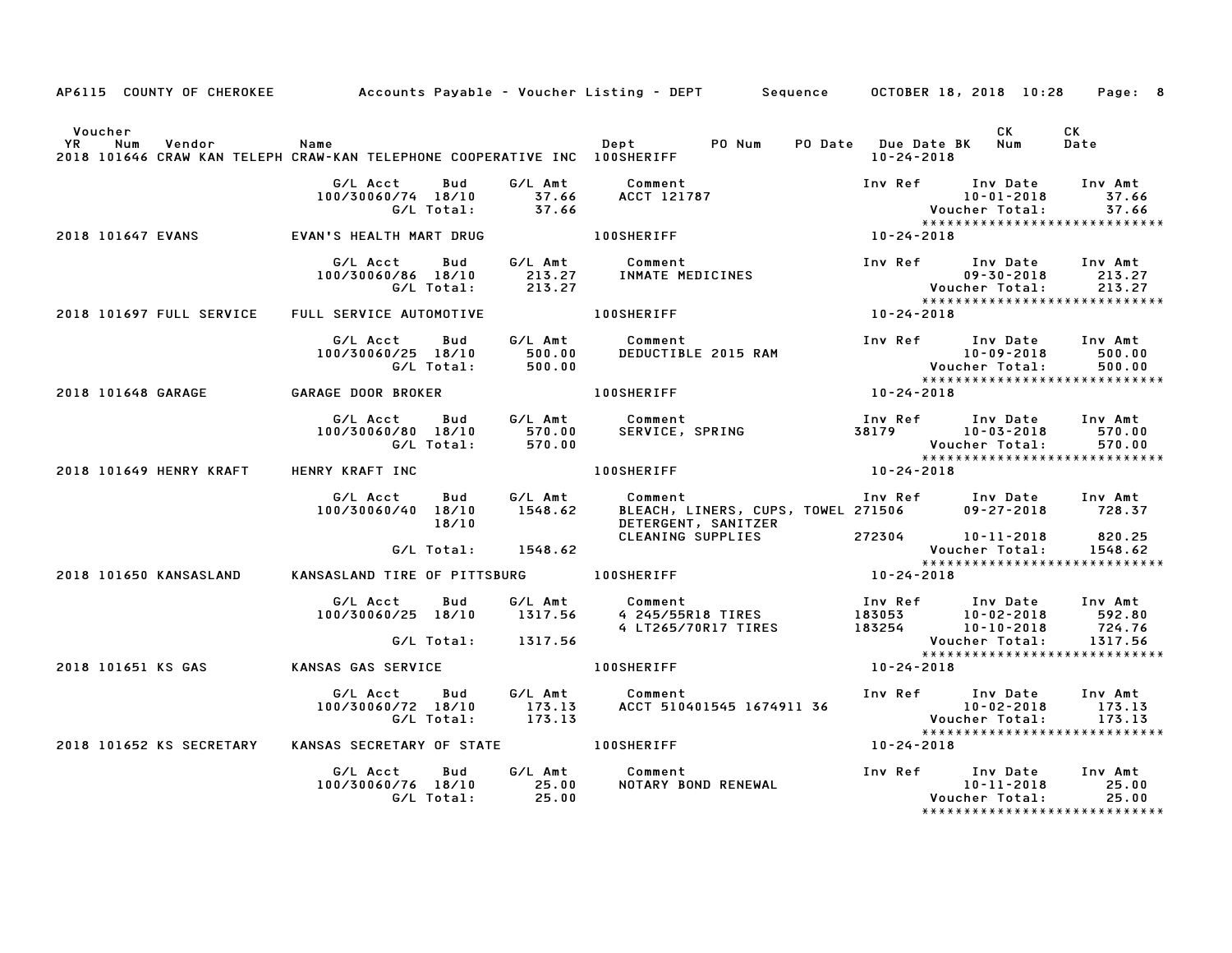|                      |     |                          | AP6115 COUNTY OF CHEROKEE         Accounts Payable – Voucher Listing – DEPT     Sequence    OCTOBER 18, 2018 10:28 |                   |                               |                                                    |                                          |                  |                                                                                                                                              | Page: 8           |
|----------------------|-----|--------------------------|--------------------------------------------------------------------------------------------------------------------|-------------------|-------------------------------|----------------------------------------------------|------------------------------------------|------------------|----------------------------------------------------------------------------------------------------------------------------------------------|-------------------|
| Voucher<br><b>YR</b> | Num | Vendor                   | Name<br>2018 101646 CRAW KAN TELEPH CRAW-KAN TELEPHONE COOPERATIVE INC 100SHERIFF                                  |                   |                               | Dept PO Num                                        |                                          | 10-24-2018       | CK<br>PO Date Due Date BK Num                                                                                                                | CK<br>Date        |
|                      |     |                          | G/L Acct<br>100/30060/74 18/10                                                                                     | Bud<br>G/L Total: | G/L Amt<br>$37.66$<br>$37.66$ | Comment                                            | <b>ACCT 121787</b>                       |                  | Inv Ref Inv Date Inv Amt<br>$10 - 01 - 2018$<br>Voucher Total: 37.66<br>*****************************                                        | 37.66             |
|                      |     | 2018 101647 EVANS        | EVAN'S HEALTH MART DRUG                                                                                            |                   |                               | 100SHERIFF                                         |                                          | $10 - 24 - 2018$ |                                                                                                                                              |                   |
|                      |     |                          | G/L Acct<br>100/30060/86 18/10                                                                                     | Bud<br>G/L Total: |                               | _<br>213.27      INMATE MEDICINES<br>213.27        |                                          |                  | Inv Ref Inv Date Inv Amt<br>Voucher Total: 213.27<br>****************************                                                            | 09-30-2018 213.27 |
|                      |     | 2018 101697 FULL SERVICE | FULL SERVICE AUTOMOTIVE                                                                                            |                   |                               | <b>100SHERIFF</b>                                  |                                          | $10 - 24 - 2018$ |                                                                                                                                              |                   |
|                      |     |                          | G/L Acct<br>100/30060/25 18/10                                                                                     | G/L Total:        | 500.00<br>500.00              | Bud G/L Amt Comment                                | DEDUCTIBLE 2015 RAM                      |                  | Inv Ref Inv Date Inv Amt<br>$10 - 09 - 2018$<br>Voucher Total: 500.00<br>****************************                                        | 500.00            |
|                      |     |                          | 2018 101648 GARAGE               GARAGE DOOR BROKER                                                                |                   |                               | <b>100SHERIFF</b>                                  |                                          | $10 - 24 - 2018$ |                                                                                                                                              |                   |
|                      |     |                          | G/L Acct<br>100/30060/80 18/10                                                                                     | G/L Total:        | 570.00                        | Bud G/L Amt Comment                                |                                          |                  | Inv Ref      Inv Date     Inv Amt<br>Voucher Total:<br>*****************************                                                         | 570.00<br>570.00  |
|                      |     |                          | 2018 101649 HENRY KRAFT HENRY KRAFT INC                                                                            |                   |                               | <b>100SHERIFF</b>                                  |                                          | $10 - 24 - 2018$ |                                                                                                                                              |                   |
|                      |     |                          | G/L Acct<br>100/30060/40 18/10                                                                                     | Bud<br>18/10      |                               | G/L Amt          Comment<br>1548.62      BLEACH, l | DETERGENT, SANITZER                      |                  | Comment                               Inv Ref       Inv Date     Inv Amt<br>BLEACH, LINERS, CUPS, TOWEL 271506        09-27-2018      728.37 |                   |
|                      |     |                          |                                                                                                                    |                   | G/L Total: 1548.62            |                                                    | CLEANING SUPPLIES                        |                  | 272304 10-11-2018<br>212304<br>Voucher Total: 1548.62<br>******************************                                                      | 820.25<br>1548.62 |
|                      |     | 2018 101650 KANSASLAND   | KANSASLAND TIRE OF PITTSBURG 100SHERIFF                                                                            |                   |                               |                                                    |                                          | $10 - 24 - 2018$ |                                                                                                                                              |                   |
|                      |     |                          | G/L Acct<br>100/30060/25 18/10 1317.56                                                                             | Bud               |                               | G/L Amt Comment                                    | 4 245/55R18 TIRES<br>4 LT265/70R17 TIRES |                  |                                                                                                                                              |                   |
|                      |     |                          |                                                                                                                    |                   | G/L Total: 1317.56            |                                                    |                                          |                  | Voucher Total:<br>*****************************                                                                                              | 1317.56           |
|                      |     | 2018 101651 KS GAS       | <b>KANSAS GAS SERVICE</b>                                                                                          |                   |                               | <b>100SHERIFF</b>                                  |                                          | $10 - 24 - 2018$ |                                                                                                                                              |                   |
|                      |     |                          | G/L Acct   Bud<br>100/30060/72 18/10 173.13<br>G/L Total: 173.13                                                   |                   |                               | G/L Amt Comment                                    |                                          |                  |                                                                                                                                              | 173.13            |
|                      |     | 2018 101652 KS SECRETARY | KANSAS SECRETARY OF STATE 100SHERIFF                                                                               |                   |                               |                                                    |                                          | 10-24-2018       |                                                                                                                                              |                   |
|                      |     |                          | G/L Acct<br>100/30060/76 18/10 25.00<br>G/L Total: 25.00                                                           | Bud               |                               | G/L Amt Comment                                    | Comment<br>NOTARY BOND RENEWAL           |                  | Inv Ref      Inv Date     Inv Amt<br>10-11-2018<br>Voucher Total:                                                                            | 25.00<br>25.00    |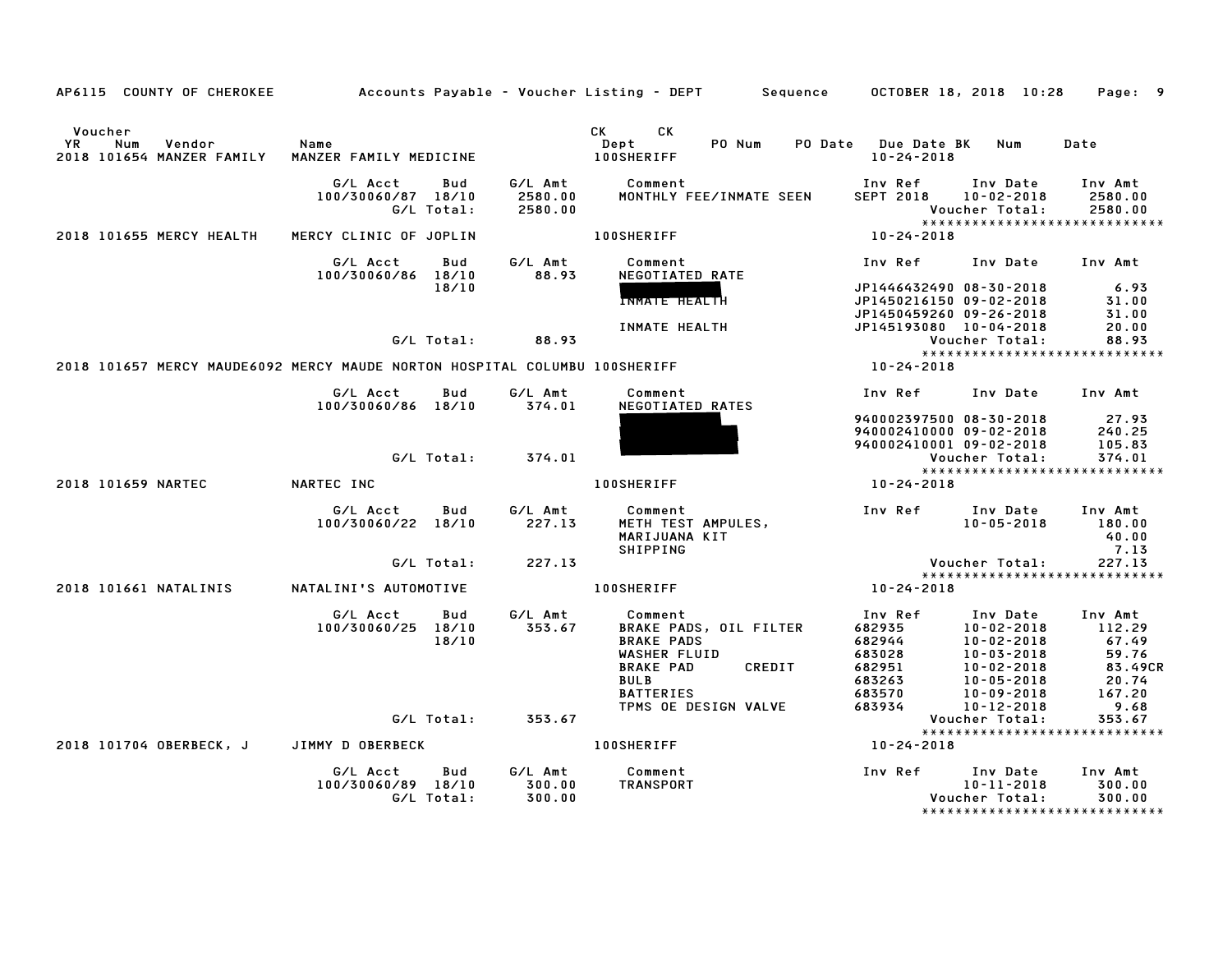| AP6115 COUNTY OF CHEROKEE                                                  |                                                     |                               | Accounts Payable – Voucher Listing – DEPT         Sequence       OCTOBER 18, 2018  10:28                                                                                                                                                                                    |                                                           |                                                                                                              | Page: 9                                                        |
|----------------------------------------------------------------------------|-----------------------------------------------------|-------------------------------|-----------------------------------------------------------------------------------------------------------------------------------------------------------------------------------------------------------------------------------------------------------------------------|-----------------------------------------------------------|--------------------------------------------------------------------------------------------------------------|----------------------------------------------------------------|
| Voucher<br>YR<br>Num<br>Vendor<br>2018 101654 MANZER FAMILY                | Name<br>MANZER FAMILY MEDICINE                      |                               | CK the control of the control of the control of the control of the control of the control of the control of the control of the control of the control of the control of the control of the control of the control of the contr<br>CK<br>PO Num<br>Dept<br><b>100SHERIFF</b> | PO Date Due Date BK Num<br>$10 - 24 - 2018$               |                                                                                                              | Date                                                           |
|                                                                            | G/L Acct<br>Bud<br>100/30060/87 18/10<br>G/L Total: | G/L Amt<br>2580.00<br>2580.00 | Comment<br>MONTHLY FEE/INMATE SEEN                                                                                                                                                                                                                                          | Inv Ref<br><b>SEPT 2018</b>                               | Inv Date<br>$10 - 02 - 2018$<br>Voucher Total:                                                               | Inv Amt<br>2580.00<br>2580.00<br>***************************** |
| 2018 101655 MERCY HEALTH                                                   | MERCY CLINIC OF JOPLIN                              |                               | <b>100SHERIFF</b>                                                                                                                                                                                                                                                           | 10-24-2018                                                |                                                                                                              |                                                                |
|                                                                            | G/L Acct<br>Bud<br>100/30060/86 18/10               | G/L Amt<br>88.93              | Comment<br>NEGOTIATED RATE                                                                                                                                                                                                                                                  | Inv Ref                                                   | Inv Date Inv Amt                                                                                             |                                                                |
|                                                                            | 18/10                                               |                               | <b>INMATE HEALTH</b>                                                                                                                                                                                                                                                        | JP1450459260 09-26-2018                                   | JP1446432490 08-30-2018<br>JP1450216150 09-02-2018                                                           | 6.93<br>31.00<br>31.00                                         |
|                                                                            |                                                     | $G/L$ Total: 88.93            | INMATE HEALTH                                                                                                                                                                                                                                                               | JP145193080 10-04-2018                                    | Voucher Total:                                                                                               | 20.00<br>88.93                                                 |
|                                                                            |                                                     |                               |                                                                                                                                                                                                                                                                             |                                                           |                                                                                                              | *****************************                                  |
| 2018 101657 MERCY MAUDE6092 MERCY MAUDE NORTON HOSPITAL COLUMBU 100SHERIFF |                                                     |                               |                                                                                                                                                                                                                                                                             | 10-24-2018                                                |                                                                                                              |                                                                |
|                                                                            | G/L Acct<br>Bud<br>100/30060/86 18/10               | G/L Amt<br>374.01             | Comment<br>NEGOTIATED RATES                                                                                                                                                                                                                                                 | Inv Ref                                                   | Inv Date Inv Amt                                                                                             |                                                                |
|                                                                            |                                                     |                               |                                                                                                                                                                                                                                                                             |                                                           | 940002397500 08-30-2018<br>940002410000 09-02-2018                                                           | 27.93<br>240.25                                                |
|                                                                            |                                                     |                               |                                                                                                                                                                                                                                                                             | 940002410001 09-02-2018                                   |                                                                                                              | 105.83                                                         |
|                                                                            | G/L Total:                                          | 374.01                        |                                                                                                                                                                                                                                                                             |                                                           | Voucher Total:                                                                                               | 374.01                                                         |
| 2018 101659 NARTEC                                                         | NARTEC INC                                          |                               | <b>100SHERIFF</b>                                                                                                                                                                                                                                                           | 10-24-2018                                                |                                                                                                              | *****************************                                  |
|                                                                            |                                                     |                               |                                                                                                                                                                                                                                                                             |                                                           |                                                                                                              |                                                                |
|                                                                            | G/L Acct<br>Bud<br>100/30060/22 18/10               | G/L Amt<br>227.13             | Comment<br>METH TEST AMPULES,<br>MARIJUANA KIT<br>SHIPPING                                                                                                                                                                                                                  | Inv Ref                                                   | Inv Date<br>$10 - 05 - 2018$                                                                                 | Inv Amt<br>180.00<br>40.00<br>7.13                             |
|                                                                            | G/L Total:                                          | 227.13                        |                                                                                                                                                                                                                                                                             |                                                           | Voucher Total:                                                                                               | 227.13                                                         |
| 2018 101661 NATALINIS                                                      | NATALINI'S AUTOMOTIVE                               |                               | 100SHERIFF                                                                                                                                                                                                                                                                  | 10-24-2018                                                |                                                                                                              | *****************************                                  |
|                                                                            |                                                     |                               |                                                                                                                                                                                                                                                                             |                                                           |                                                                                                              |                                                                |
|                                                                            | G/L Acct<br>Bud<br>100/30060/25 18/10<br>18/10      | G/L Amt<br>353.67             | Comment<br>BRAKE PADS, OIL FILTER<br><b>BRAKE PADS</b><br>WASHER FLUID<br><b>BRAKE PAD</b><br>CREDIT<br><b>BULB</b>                                                                                                                                                         | Inv Ref<br>682935<br>682944<br>683028<br>682951<br>683263 | Inv Date<br>$10 - 02 - 2018$<br>$10 - 02 - 2018$<br>$10 - 03 - 2018$<br>$10 - 02 - 2018$<br>$10 - 05 - 2018$ | Inv Amt<br>112.29<br>67.49<br>59.76<br>83.49CR<br>20.74        |
|                                                                            |                                                     |                               | BATTERIES<br>TPMS OE DESIGN VALVE                                                                                                                                                                                                                                           | 683570<br>683934                                          | 10-09-2018<br>10-12-2018                                                                                     | 167.20<br>9.68                                                 |
|                                                                            |                                                     | G/L Total: 353.67             |                                                                                                                                                                                                                                                                             |                                                           | Voucher Total:                                                                                               | 353.67                                                         |
|                                                                            |                                                     |                               |                                                                                                                                                                                                                                                                             |                                                           |                                                                                                              | *****************************                                  |
| 2018 101704 OBERBECK, J                                                    | JIMMY D OBERBECK                                    |                               | <b>100SHERIFF</b>                                                                                                                                                                                                                                                           | 10-24-2018                                                |                                                                                                              |                                                                |
|                                                                            | G/L Acct<br>Bud<br>100/30060/89 18/10<br>G/L Total: | G/L Amt<br>300.00<br>300.00   | Comment<br>TRANSPORT                                                                                                                                                                                                                                                        | Inv Ref                                                   | Inv Date<br>10-11-2018<br>Voucher Total:                                                                     | Inv Amt<br>300.00<br>300.00<br>*****************************   |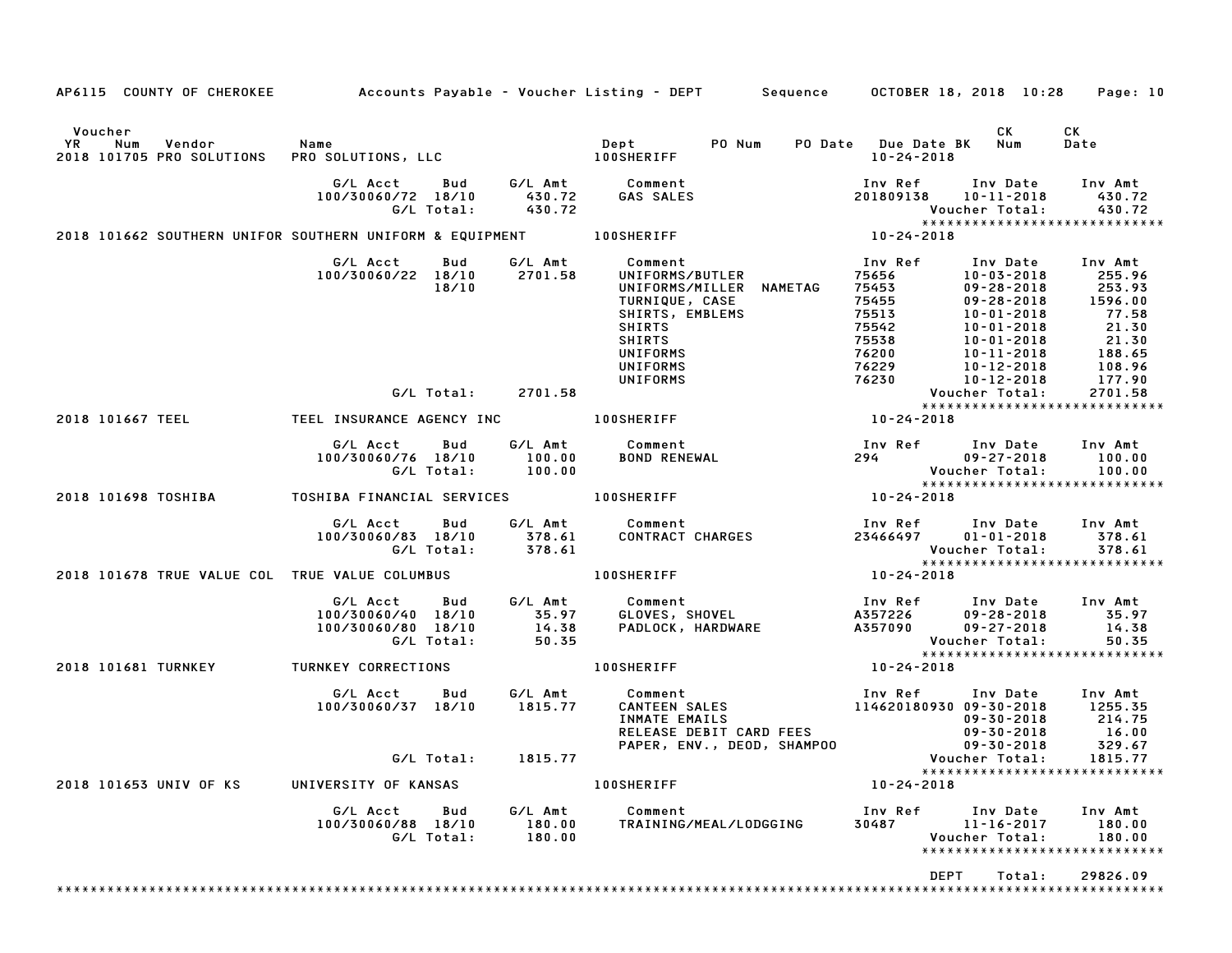|                                                                           |                                                                                                                                                                                       |                             | AP6115 COUNTY OF CHEROKEE Accounts Payable - Voucher Listing - DEPT Sequence OCTOBER 18, 2018 10:28 Page: 10                                                                                                                                                                                       |                                                                                                                                                                                                               |                                                                                                                                       |
|---------------------------------------------------------------------------|---------------------------------------------------------------------------------------------------------------------------------------------------------------------------------------|-----------------------------|----------------------------------------------------------------------------------------------------------------------------------------------------------------------------------------------------------------------------------------------------------------------------------------------------|---------------------------------------------------------------------------------------------------------------------------------------------------------------------------------------------------------------|---------------------------------------------------------------------------------------------------------------------------------------|
| Voucher                                                                   |                                                                                                                                                                                       |                             |                                                                                                                                                                                                                                                                                                    | CK                                                                                                                                                                                                            | CK<br>Date                                                                                                                            |
|                                                                           |                                                                                                                                                                                       | G/L Total: 430.72           |                                                                                                                                                                                                                                                                                                    | Inv Ref Inv Date Inv Amt<br>201809138 10-11-2018 430.72<br>Voucher Total:        430.72                                                                                                                       |                                                                                                                                       |
|                                                                           |                                                                                                                                                                                       |                             | 2018 101662 SOUTHERN UNIFOR SOUTHERN UNIFORM & EQUIPMENT 100SHERIFF                                                                                                                                                                                                                                | $10 - 24 - 2018$                                                                                                                                                                                              | *****************************                                                                                                         |
|                                                                           | G/L Acct<br>Bud<br>100/30060/22 18/10 2701.58<br>18/10                                                                                                                                |                             | G/L Amt Comment<br>UNIFORMS/BUTLER<br>UNIFORMS/MILLER NAMETAG<br>TURNIQUE, CASE<br>SHIRTS, EMBLEMS<br><b>SHIRTS</b><br>SHIRTS<br>UNIFORMS<br>UNIFORMS<br><b>UNIFORMS</b>                                                                                                                           | Inv Ref<br>75656 10-03-2018<br>75453 09-28-2018<br>75455 09-28-2018<br>75513<br>10-01-2018<br>10-01-2018<br>10-01-2018<br>10-11-2018<br>10-12-2018<br>10-12-2018<br>75542<br>75538<br>76200<br>76229<br>76230 | Inv Date Inv Amt<br>255.96<br>253.93<br>1596.00<br>77.58<br>77.58<br>21.30<br>21.30<br>21.30<br>188.65<br>108.96<br>177.90<br>2701.58 |
|                                                                           |                                                                                                                                                                                       | G/L Total: 2701.58          |                                                                                                                                                                                                                                                                                                    | Voucher Total:                                                                                                                                                                                                | *****************************                                                                                                         |
|                                                                           |                                                                                                                                                                                       |                             | 2018 101667 TEEL THE TEEL INSURANCE AGENCY INC THE RESIDENCE OF A LOOSHERIFF                                                                                                                                                                                                                       | $10 - 24 - 2018$                                                                                                                                                                                              |                                                                                                                                       |
|                                                                           | G/L Acct   Bud<br>100/30060/76 18/10 100.00<br>G/L Total: 100.00                                                                                                                      |                             | G/L Amt Comment<br><b>BOND RENEWAL</b>                                                                                                                                                                                                                                                             | 110 Ref Inv Date Inv Amt<br>1940 - 1990-27-2018 100.00<br>Voucher Total: 100.00                                                                                                                               |                                                                                                                                       |
|                                                                           |                                                                                                                                                                                       |                             |                                                                                                                                                                                                                                                                                                    | $10 - 24 - 2018$                                                                                                                                                                                              | *****************************                                                                                                         |
|                                                                           | G/L Acct<br><b>Bud</b><br>100/30060/83 18/10<br>G/L Total:                                                                                                                            |                             |                                                                                                                                                                                                                                                                                                    |                                                                                                                                                                                                               | *****************************                                                                                                         |
| 2018 101678 TRUE VALUE COL TRUE VALUE COLUMBUS THE RESERVATIVE PROSHERIFF |                                                                                                                                                                                       |                             |                                                                                                                                                                                                                                                                                                    | $10 - 24 - 2018$                                                                                                                                                                                              |                                                                                                                                       |
|                                                                           | G/L Acct   Bud   G/L Amt   Comment<br> 00/30060/40   18/10   35.97   GLOVES, S<br> 00/30060/80   18/10   14.38   PADLOCK,  <br>100/30060/40 18/10<br>100/30060/80 18/10<br>G/L Total: | 50.35                       |                                                                                                                                                                                                                                                                                                    | Voucher Total:                                                                                                                                                                                                | 50.35<br>*****************************                                                                                                |
| 2018 101681 TURNKEY TURNKEY CORRECTIONS                                   |                                                                                                                                                                                       |                             | <b>100SHERIFF</b>                                                                                                                                                                                                                                                                                  | $10 - 24 - 2018$                                                                                                                                                                                              |                                                                                                                                       |
|                                                                           | 100/30060/37 18/10 1815.77                                                                                                                                                            |                             | G/L Acct Bud G/L Amt Comment Inv Ref Inv Date Inv Amt Inv 7016 Inv Amt Comment Inv Amt Inv Amt Inv Amt Inv Amt<br>100/30060/37 18/10 1815.77 CANTEEN SALES 114620180930 09-30-2018 1255.35<br>14.75 214.75 INMATE EMAILS<br>INMATE EMAILS<br>RELEASE DEBIT CARD FEES<br>PAPER, ENV., DEOD, SHAMPOO | 09-30-2018<br>$09 - 30 - 2018$<br>$09 - 30 - 2018$                                                                                                                                                            | 1255.35<br>214.75<br>16.00<br>329.67                                                                                                  |
|                                                                           |                                                                                                                                                                                       | G/L Total: 1815.77          |                                                                                                                                                                                                                                                                                                    | Voucher Total:                                                                                                                                                                                                | 1815.77<br>*****************************                                                                                              |
| 2018 101653 UNIV OF KS                                                    | UNIVERSITY OF KANSAS                                                                                                                                                                  |                             | <b>100SHERIFF</b>                                                                                                                                                                                                                                                                                  | $10 - 24 - 2018$                                                                                                                                                                                              |                                                                                                                                       |
|                                                                           | G/L Acct<br>Bud<br>100/30060/88 18/10<br>G/L Total:                                                                                                                                   | G/L Amt<br>180.00<br>180.00 | Comment<br>TRAINING/MEAL/LODGGING                                                                                                                                                                                                                                                                  | Inv Ref<br>Inv Date<br>11-16-2017<br>30487<br>Voucher Total:                                                                                                                                                  | Inv Amt<br>180.00<br>180.00<br>*****************************                                                                          |
|                                                                           |                                                                                                                                                                                       |                             |                                                                                                                                                                                                                                                                                                    | DEPT<br>Total:                                                                                                                                                                                                | 29826.09                                                                                                                              |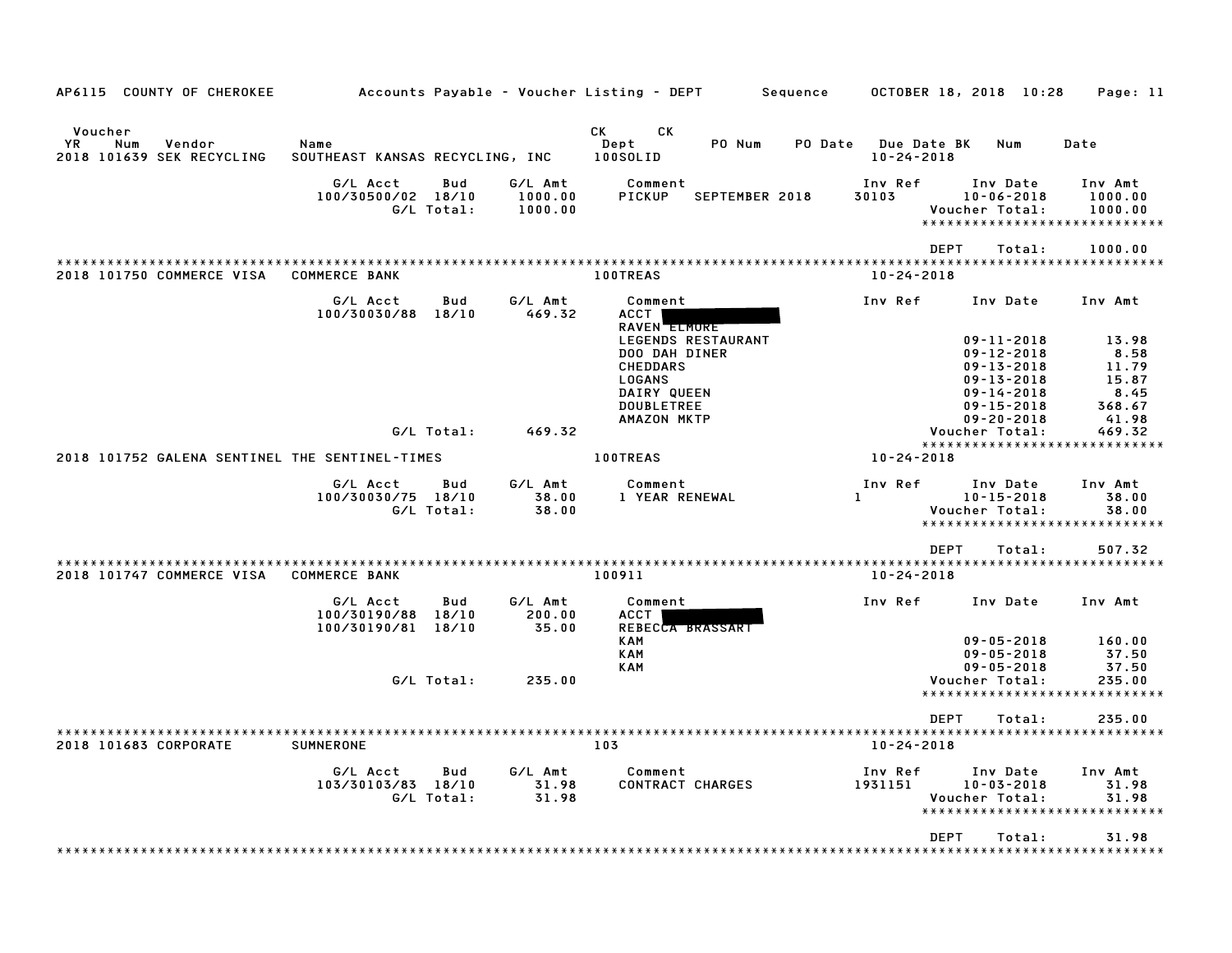| AP6115 COUNTY OF CHEROKEE                                   |                                                      |              |                               | Accounts Payable – Voucher Listing – DEPT                                                                                                                                                                                                                          | Sequence                | OCTOBER 18, 2018 10:28                                                                                             | Page: 11                                            |
|-------------------------------------------------------------|------------------------------------------------------|--------------|-------------------------------|--------------------------------------------------------------------------------------------------------------------------------------------------------------------------------------------------------------------------------------------------------------------|-------------------------|--------------------------------------------------------------------------------------------------------------------|-----------------------------------------------------|
| Voucher<br>ΥR<br>Num<br>Vendor<br>2018 101639 SEK RECYCLING | Name<br>SOUTHEAST KANSAS RECYCLING, INC              |              |                               | CK and the control of the control of the control of the control of the control of the control of the control of the control of the control of the control of the control of the control of the control of the control of the c<br>CK<br>PO Num<br>Dept<br>100SOLID | <b>PO Date</b>          | <b>Due Date BK</b><br>Num<br>$10 - 24 - 2018$                                                                      | Date                                                |
|                                                             | G/L Acct<br>100/30500/02 18/10<br>G/L Total:         | Bud          | G/L Amt<br>1000.00<br>1000.00 | Comment<br>PICKUP<br>SEPTEMBER 2018                                                                                                                                                                                                                                | Inv Ref<br>30103        | Inv Date<br>$10 - 06 - 2018$<br>Voucher Total:<br>******************                                               | Inv Amt<br>1000.00<br>1000.00<br>************       |
| 2018 101750 COMMERCE VISA                                   | <b>COMMERCE BANK</b>                                 |              |                               | 100TREAS                                                                                                                                                                                                                                                           |                         | <b>DEPT</b><br>Total:<br>$10 - 24 - 2018$                                                                          | 1000.00                                             |
|                                                             | G/L Acct<br>100/30030/88                             | Bud<br>18/10 | G/L Amt<br>469.32             | Comment<br>ACCT  <br>RAVEN <b>ELMORE</b><br>LEGENDS RESTAURANT<br>DOO DAH DINER                                                                                                                                                                                    | Inv Ref                 | Inv Date<br>$09 - 11 - 2018$<br>$09 - 12 - 2018$                                                                   | Inv Amt<br>13.98<br>8.58                            |
|                                                             | G/L Total:                                           |              | 469.32                        | <b>CHEDDARS</b><br>LOGANS<br>DAIRY QUEEN<br><b>DOUBLETREE</b><br>AMAZON MKTP                                                                                                                                                                                       |                         | $09 - 13 - 2018$<br>$09 - 13 - 2018$<br>$09 - 14 - 2018$<br>$09 - 15 - 2018$<br>$09 - 20 - 2018$<br>Voucher Total: | 11.79<br>15.87<br>8.45<br>368.67<br>41.98<br>469.32 |
| 2018 101752 GALENA SENTINEL THE SENTINEL-TIMES              |                                                      |              |                               | 100TREAS                                                                                                                                                                                                                                                           | 10-24-2018              | *****************************                                                                                      |                                                     |
|                                                             | G/L Acct<br>100/30030/75 18/10<br>G/L Total:         | Bud          | G/L Amt<br>38.00<br>38.00     | Comment<br>1 YEAR RENEWAL                                                                                                                                                                                                                                          | Inv Ref<br>$\mathbf{L}$ | Inv Date<br>$10 - 15 - 2018$<br>Voucher Total:<br>*****************************                                    | Inv Amt<br>38.00<br>38.00                           |
| 2018 101747 COMMERCE VISA                                   | <b>COMMERCE BANK</b>                                 |              |                               | 100911                                                                                                                                                                                                                                                             |                         | <b>DEPT</b><br>Total:<br>$10 - 24 - 2018$                                                                          | 507.32                                              |
|                                                             | G/L Acct<br>100/30190/88 18/10<br>100/30190/81 18/10 | Bud          | G/L Amt<br>200.00<br>35.00    | Comment<br>ACCT<br>REBECCA BRASSART                                                                                                                                                                                                                                | Inv Ref                 | Inv Date                                                                                                           | Inv Amt                                             |
|                                                             | G/L Total:                                           |              | 235.00                        | <b>KAM</b><br><b>KAM</b><br><b>KAM</b>                                                                                                                                                                                                                             |                         | $09 - 05 - 2018$<br>$09 - 05 - 2018$<br>$09 - 05 - 2018$<br>Voucher Total:<br>*****************************        | 160.00<br>37.50<br>37.50<br>235.00                  |
|                                                             |                                                      |              |                               |                                                                                                                                                                                                                                                                    |                         | DEPT<br>Total:                                                                                                     | 235.00                                              |
| 2018 101683 CORPORATE                                       | SUMNERONE                                            |              |                               | 103                                                                                                                                                                                                                                                                |                         | $10 - 24 - 2018$                                                                                                   |                                                     |
|                                                             | G/L Acct<br>103/30103/83 18/10<br>G/L Total:         | Bud          | G/L Amt<br>31.98<br>31.98     | Comment<br><b>CONTRACT CHARGES</b>                                                                                                                                                                                                                                 | Inv Ref<br>1931151      | Inv Date<br>$10 - 03 - 2018$<br>Voucher Total:<br>*****************************                                    | Inv Amt<br>31.98<br>31.98                           |
|                                                             |                                                      |              |                               |                                                                                                                                                                                                                                                                    |                         | <b>DEPT</b><br>Total:                                                                                              | 31.98<br>* * * * * * * * *                          |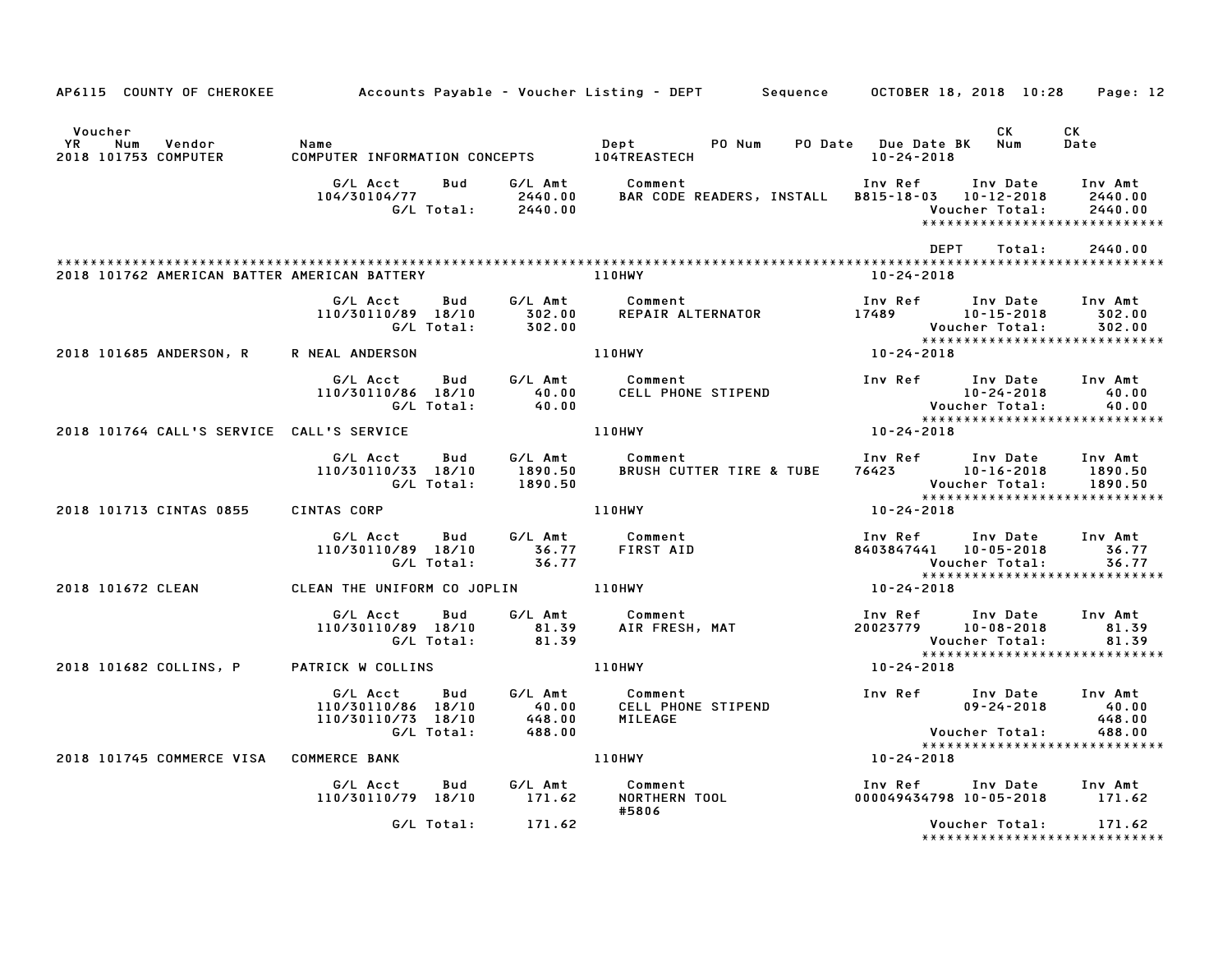| AP6115 COUNTY OF CHEROKEE                              |                                                                    |                   |                                      | Accounts Payable – Voucher Listing – DEPT         Sequence       OCTOBER 18, 2018  10:28     Page: 12                                                                                                                                                                        |                                |                                                  |                                                                |                                                            |
|--------------------------------------------------------|--------------------------------------------------------------------|-------------------|--------------------------------------|------------------------------------------------------------------------------------------------------------------------------------------------------------------------------------------------------------------------------------------------------------------------------|--------------------------------|--------------------------------------------------|----------------------------------------------------------------|------------------------------------------------------------|
| Voucher<br>YR<br>Num<br>Vendor<br>2018 101753 COMPUTER | Name                                                               |                   |                                      | Depteration of the state of the state of the state of the state of the state of the state of the state of the state of the state of the state of the state of the state of the state of the state of the state of the state of<br>COMPUTER INFORMATION CONCEPTS 104TREASTECH | PO Num PO Date Due Date BK Num | 10-24-2018                                       | CK                                                             | CK<br>Date                                                 |
|                                                        | G/L Acct<br>104/30104/77                                           |                   |                                      | Bud G/L Amt Comment<br>BAR CODE READERS, INSTALL B815-18-03 10-12-2018                                                                                                                                                                                                       |                                | Inv Ref                                          | Inv Date Inv Amt<br>Voucher Total:                             | 2440.00<br>2440.00<br>*****************************        |
|                                                        |                                                                    |                   |                                      |                                                                                                                                                                                                                                                                              |                                | DEPT                                             | Total:                                                         | 2440.00                                                    |
| 2018 101762 AMERICAN BATTER AMERICAN BATTERY           |                                                                    |                   |                                      | <b>110HWY</b>                                                                                                                                                                                                                                                                |                                | 10-24-2018                                       |                                                                |                                                            |
|                                                        | G/L Acct<br>110/30110/89 18/10                                     | Bud<br>G/L Total: | G/L Amt<br>$302.00$<br>$302.00$      | Comment<br>REPAIR ALTERNATOR 17489 10-15-2018                                                                                                                                                                                                                                |                                |                                                  | Inv Ref Inv Date<br>Voucher Total:                             | Inv Amt<br>302.00<br>302.00                                |
| 2018 101685 ANDERSON, R                                | R NEAL ANDERSON                                                    |                   |                                      | <b>110HWY</b>                                                                                                                                                                                                                                                                |                                | Vou<br>* * * *<br>10-24-2018                     |                                                                |                                                            |
|                                                        | G/L Acct<br>110/30110/86 18/10                                     | Bud<br>G/L Total: | G/L Amt<br>40.00<br>40.00            | Comment<br>CELL PHONE STIPEND                                                                                                                                                                                                                                                |                                | 10-24-2018<br>:Voucher Total<br>:*************** | Inv Ref Inv Date Inv Amt<br>10-24-2018                         | 40.00<br>40.00                                             |
| 2018 101764 CALL'S SERVICE CALL'S SERVICE              |                                                                    |                   |                                      | 110HWY                                                                                                                                                                                                                                                                       |                                | $10 - 24 - 2018$                                 |                                                                | *****************************                              |
|                                                        | G/L Acct<br>110/30110/33 18/10<br>G/L Total:                       | <b>Bud</b>        | G/L Amt<br>1890.50<br>1890.50        | Comment<br>BRUSH CUTTER TIRE & TUBE                                                                                                                                                                                                                                          |                                | 76423 10-16-2018                                 | Inv Ref Inv Date<br>Voucher Total:                             | Inv Amt<br>1890.50<br>1890.50                              |
| 2018 101713 CINTAS 0855                                | CINTAS CORP                                                        |                   |                                      | 110HWY                                                                                                                                                                                                                                                                       |                                | 10-24-2018                                       |                                                                |                                                            |
|                                                        | G/L Acct<br>110/30110/89 18/10<br>G/L Total:                       | Bud               | 36.77<br>36.77                       | G/L Amt Comment<br>FIRST AID                                                                                                                                                                                                                                                 |                                | Inv Ref<br>8403847441 10-05-2018                 | Inv Date<br>Voucher Total:                                     | Inv Amt<br>36.77<br>36.77<br>***************************** |
| 2018 101672 CLEAN                                      | CLEAN THE UNIFORM CO JOPLIN 110HWY                                 |                   |                                      |                                                                                                                                                                                                                                                                              |                                | 10-24-2018                                       |                                                                |                                                            |
|                                                        | G/L Acct<br>110/30110/89 18/10                                     | Bud<br>G/L Total: | 81.39<br>81.39                       | G/L Amt Comment<br>Comment<br>AIR FRESH, MAT                                                                                                                                                                                                                                 |                                | 20023779  10-08-2018                             | Inv Ref      Inv Date<br>Voucher Total:                        | Inv Amt<br>81.39<br>81.39                                  |
| 2018 101682 COLLINS, P                                 | PATRICK W COLLINS 110HWY                                           |                   |                                      |                                                                                                                                                                                                                                                                              |                                | 10-24-2018                                       |                                                                |                                                            |
|                                                        | G/L Acct<br>110/30110/86 18/10<br>110/30110/73 18/10<br>G/L Total: | <b>Bud</b>        | G⁄L Amt<br>40.00<br>448.00<br>488.00 | Comment<br>CELL PHONE STIPEND<br>MILEAGE                                                                                                                                                                                                                                     |                                |                                                  | Inv Ref Inv Date Inv Amt<br>$09 - 24 - 2018$<br>Voucher Total: | 40.00<br>448.00<br>488.00                                  |
| 2018 101745 COMMERCE VISA COMMERCE BANK                |                                                                    |                   |                                      | <b>110HWY</b>                                                                                                                                                                                                                                                                |                                | 10-24-2018                                       |                                                                | *****************************                              |
|                                                        | G/L Acct<br>110/30110/79 18/10 171.62                              | Bud               | G∕L Amt                              | Comment<br>Comment<br>NORTHERN TOOL<br>#5806                                                                                                                                                                                                                                 |                                | Inv Ref                                          | Inv Date Inv Amt<br>000049434798 10-05-2018 171.62             |                                                            |
|                                                        |                                                                    | G/L Total:        | 171.62                               |                                                                                                                                                                                                                                                                              |                                |                                                  | Voucher Total:                                                 | 171.62<br>*****************************                    |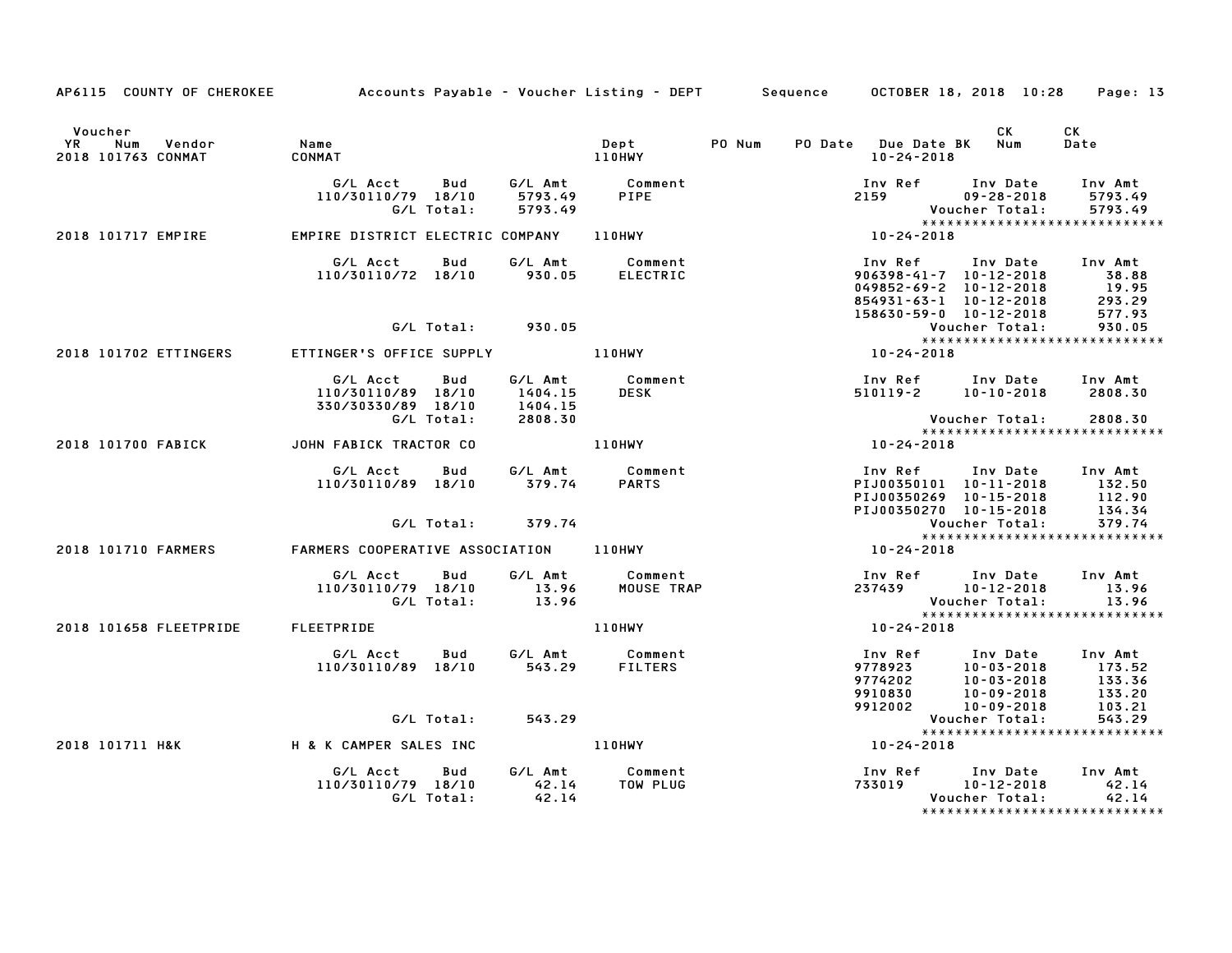| AP6115 COUNTY OF CHEROKEE                            | Accounts Payable - Voucher Listing - DEPT                   |                               |                            | Sequence   | OCTOBER 18, 2018 10:28                                                                            | Page: 13                                                                                                                  |
|------------------------------------------------------|-------------------------------------------------------------|-------------------------------|----------------------------|------------|---------------------------------------------------------------------------------------------------|---------------------------------------------------------------------------------------------------------------------------|
| Voucher<br>YR<br>Num<br>Vendor<br>2018 101763 CONMAT | Name<br>CONMAT                                              |                               | Dept<br>110HWY             | PO Num     | PO Date Due Date BK<br>$10 - 24 - 2018$                                                           | СK<br>CK<br>Num<br>Date                                                                                                   |
|                                                      | G/L Acct<br>Bud<br>110/30110/79 18/10<br>G/L Total:         | G/L Amt<br>5793.49<br>5793.49 | Comment<br>PIPE            |            | Inv Ref<br>2159<br>Voucher Total:                                                                 | Inv Date<br>Inv Amt<br>$09 - 28 - 2018$<br>5793.49<br>5793.49                                                             |
| 2018 101717 EMPIRE                                   | EMPIRE DISTRICT ELECTRIC COMPANY                            |                               | <b>110HWY</b>              |            | $10 - 24 - 2018$                                                                                  | *****************************                                                                                             |
|                                                      | G/L Acct<br>Bud<br>110/30110/72 18/10                       | G/L Amt<br>930.05             | Comment<br><b>ELECTRIC</b> |            | Inv Ref<br>$906398 - 41 - 7$ 10-12-2018<br>$049852 - 69 - 2$ 10-12-2018<br>854931-63-1 10-12-2018 | Inv Date<br>Inv Amt<br>38.88<br>19.95<br>293.29                                                                           |
|                                                      | G/L Total:                                                  | 930.05                        |                            |            | 158630-59-0 10-12-2018<br>Voucher Total:                                                          | 577.93<br>930.05                                                                                                          |
| 2018 101702 ETTINGERS                                | ETTINGER'S OFFICE SUPPLY                                    |                               | <b>110HWY</b>              |            | 10-24-2018                                                                                        | *****************************                                                                                             |
|                                                      | G/L Acct<br>Bud<br>110/30110/89 18/10<br>330/30330/89 18/10 | G/L Amt<br>1404.15<br>1404.15 | Comment<br><b>DESK</b>     |            | Inv Ref Inv Date<br>510119-2 10-10-2018                                                           | Inv Amt<br>2808.30                                                                                                        |
|                                                      | G/L Total:                                                  | 2808.30                       |                            |            | Voucher Total:                                                                                    | 2808.30<br>*****************************                                                                                  |
| 2018 101700 FABICK                                   | JOHN FABICK TRACTOR CO                                      |                               | <b>110HWY</b>              |            | 10-24-2018                                                                                        |                                                                                                                           |
|                                                      | G/L Acct<br>Bud<br>110/30110/89 18/10                       | G/L Amt<br>379.74             | Comment<br><b>PARTS</b>    |            | Inv Ref<br>PIJ00350101 10-11-2018<br>PIJ00350269 10-15-2018<br>PIJ00350270 10-15-2018             | Inv Date<br>Inv Amt<br>132.50<br>112.90<br>134.34                                                                         |
|                                                      | G/L Total:                                                  | 379.74                        |                            |            | Voucher Total:                                                                                    | 379.74<br>*****************************                                                                                   |
| 2018 101710 FARMERS                                  | FARMERS COOPERATIVE ASSOCIATION                             |                               | 110HWY                     | 10-24-2018 |                                                                                                   |                                                                                                                           |
|                                                      | G/L Acct<br>Bud<br>110/30110/79 18/10<br>G/L Total:         | G/L Amt<br>13.96<br>13.96     | Comment<br>MOUSE TRAP      |            | Inv Ref     Inv Date<br>237439<br>Voucher Total:                                                  | Inv Amt<br>10-12-2018<br>13.96<br>13.96                                                                                   |
| 2018 101658 FLEETPRIDE                               | FLEETPRIDE                                                  |                               | 110HWY                     |            | 10-24-2018                                                                                        | *****************************                                                                                             |
|                                                      | G/L Acct<br>Bud<br>110/30110/89 18/10                       | G/L Amt<br>543.29             | Comment<br><b>FILTERS</b>  |            | Inv Ref<br>9778923<br>9774202<br>9910830<br>9912002                                               | Inv Date<br>Inv Amt<br>10-03-2018<br>173.52<br>133.36<br>$10 - 03 - 2018$<br>133.20<br>10-09-2018<br>10-09-2018<br>103.21 |
|                                                      | G/L Total:                                                  | 543.29                        |                            |            | Voucher Total:                                                                                    | 543.29                                                                                                                    |
| 2018 101711 H&K                                      | H & K CAMPER SALES INC                                      |                               | 110HWY                     |            | 10-24-2018                                                                                        | ******************************                                                                                            |
|                                                      | G/L Acct<br>Bud<br>110/30110/79 18/10<br>G/L Total:         | G/L Amt<br>42.14<br>42.14     | Comment<br>TOW PLUG        |            | Inv Ref Inv Date<br>733019<br>Voucher Total:                                                      | Inv Amt<br>10-12-2018<br>42.14<br>42.14<br>*****************************                                                  |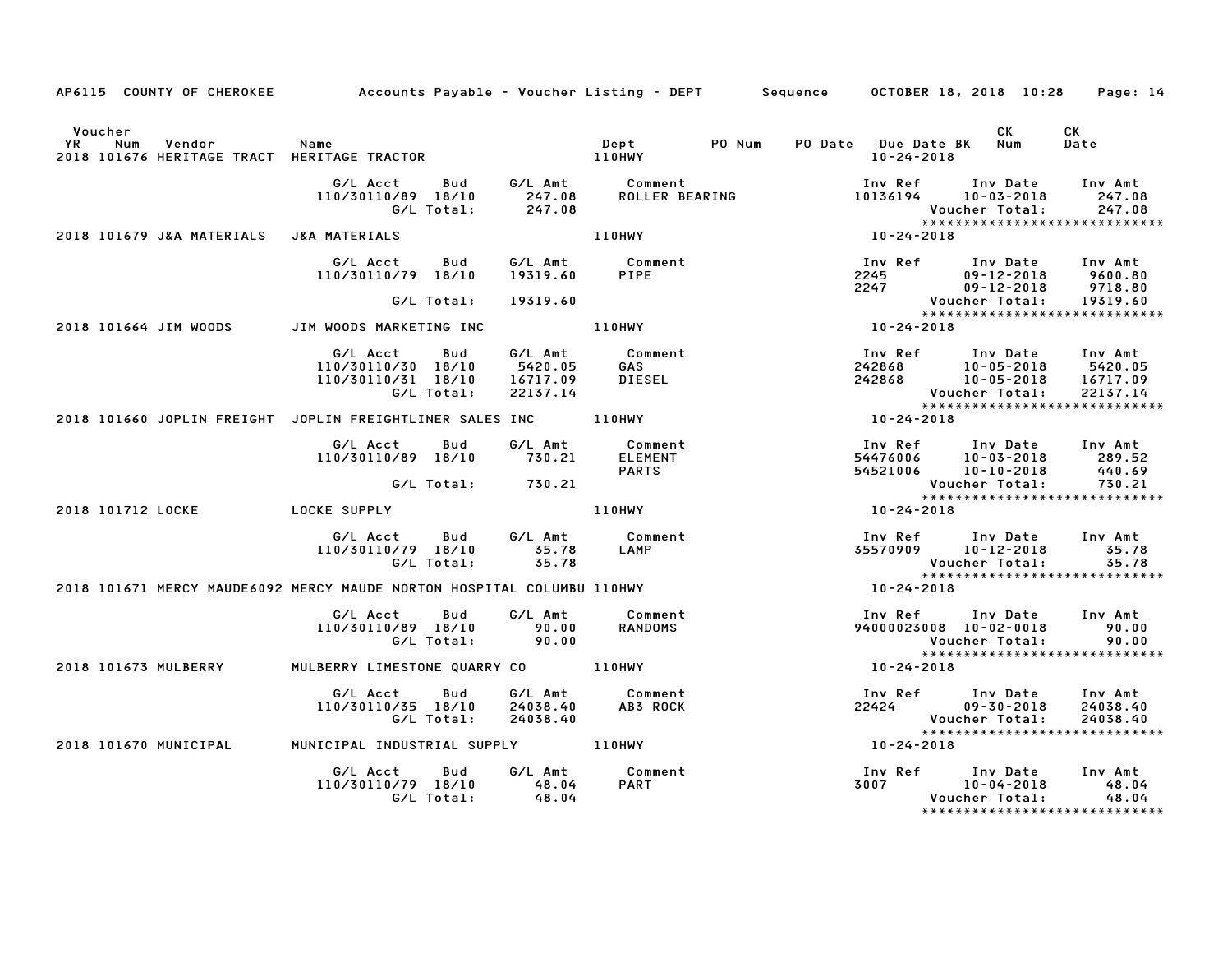|                |                                                              | AP6115 COUNTY OF CHEROKEE          Accounts Payable – Voucher Listing – DEPT       Sequence     OCTOBER 18, 2018  10:28 |                                            |                                           |        |                                             |                                                                                                       | Page: 14                        |
|----------------|--------------------------------------------------------------|-------------------------------------------------------------------------------------------------------------------------|--------------------------------------------|-------------------------------------------|--------|---------------------------------------------|-------------------------------------------------------------------------------------------------------|---------------------------------|
| Voucher<br>YR. | Num<br>Vendor<br>2018 101676 HERITAGE TRACT HERITAGE TRACTOR | Name                                                                                                                    |                                            | Dept<br>110HWY                            | PO Num | PO Date Due Date BK Num<br>$10 - 24 - 2018$ | CK                                                                                                    | <b>CK</b><br>Date               |
|                |                                                              | G/L Acct<br>Bud<br>110/30110/89 18/10<br>G/L Total:                                                                     | 247.08<br>247.08                           | G/L Amt Comment<br>ROLLER BEARING         |        | Inv Ref                                     | Inv Date<br>10136194 10-03-2018<br><b>Voucher Total:</b><br>*****************************             | Inv Amt<br>247.08<br>247.08     |
|                | 2018 101679 J&A MATERIALS                                    | J&A MATERIALS                                                                                                           |                                            | 110HWY                                    |        | $10 - 24 - 2018$                            |                                                                                                       |                                 |
|                |                                                              | G/L Acct<br>Bud<br>110/30110/79 18/10                                                                                   | G/L Amt<br>19319.60                        | Comment<br>PIPE                           |        |                                             | Inv Ref      Inv Date<br>2245 09-12-2018<br>2247 09-12-2018<br>$09 - 12 - 2018$                       | Inv Amt<br>9600.80<br>9718.80   |
|                |                                                              | G/L Total:                                                                                                              | 19319.60                                   |                                           |        |                                             | <b>Voucher Total:</b>                                                                                 | 19319.60                        |
|                | 2018 101664 JIM WOODS                                        | JIM WOODS MARKETING INC                                                                                                 |                                            | 110HWY                                    |        | $10 - 24 - 2018$                            |                                                                                                       |                                 |
|                |                                                              | G/L Acct<br>Bud<br>110/30110/30 18/10<br>110/30110/31 18/10<br>G/L Total:                                               | G/L Amt<br>5420.05<br>16717.09<br>22137.14 | Comment<br><b>GAS</b><br>DIESEL           |        |                                             | Inv Ref      Inv Date<br>242868 10-05-2018 5420.05<br>242868 10-05-2018 16717.09<br>Voucher Total:    | Inv Amt<br>22137.14             |
|                |                                                              | 2018 101660 JOPLIN FREIGHT JOPLIN FREIGHTLINER SALES INC                                                                |                                            | 110HWY                                    |        | $10 - 24 - 2018$                            | *****************************                                                                         |                                 |
|                |                                                              | G/L Acct<br>Bud<br>110/30110/89 18/10                                                                                   | G/L Amt<br>730.21                          | Comment<br><b>ELEMENT</b><br><b>PARTS</b> |        |                                             | Inv Ref Inv Date Inv Amt                                                                              | 289.52<br>440.69                |
|                |                                                              | G/L Total:                                                                                                              | 730.21                                     |                                           |        |                                             | Voucher Total:<br>*****************************                                                       | 730.21                          |
|                | 2018 101712 LOCKE                                            | <b>LOCKE SUPPLY</b>                                                                                                     |                                            | 110HWY                                    |        | 10-24-2018                                  |                                                                                                       |                                 |
|                |                                                              | G/L Acct   Bud<br>110/30110/79 18/10<br>G/L Total:                                                                      | G⁄L Amt<br>35.78<br>35.78                  | Comment<br>LAMP                           |        |                                             | Inv Ref Inv Date Inv Amt<br>35570909 10-12-2018<br>Voucher Total:                                     | 35.78<br>35.78                  |
|                |                                                              | 2018 101671 MERCY MAUDE6092 MERCY MAUDE NORTON HOSPITAL COLUMBU 110HWY                                                  |                                            |                                           |        | 10-24-2018                                  |                                                                                                       |                                 |
|                |                                                              | G/L Acct<br>Bud<br>110/30110/89 18/10<br>G/L Total:                                                                     | G/L Amt<br>90.00<br>90.00                  | Comment<br><b>RANDOMS</b>                 |        |                                             | Inv Ref Inv Date Inv Amt<br>94000023008 10-02-0018<br>Voucher Total:<br>***************************** | 90.00<br>90.00                  |
|                | 2018 101673 MULBERRY                                         | MULBERRY LIMESTONE QUARRY CO 110HWY                                                                                     |                                            |                                           |        | 10-24-2018                                  |                                                                                                       |                                 |
|                |                                                              | Bud<br>G/L Acct<br>110/30110/35 18/10<br>G/L Total:                                                                     | G/L Amt<br>24038.40<br>24038.40            | Comment<br>AB3 ROCK                       |        |                                             | Inv Ref Inv Date<br>22424 09-30-2018<br>Voucher Total:<br>******************************              | Inv Amt<br>24038.40<br>24038.40 |
|                | 2018 101670 MUNICIPAL                                        |                                                                                                                         |                                            |                                           |        | $10 - 24 - 2018$                            |                                                                                                       |                                 |
|                |                                                              | G/L Acct<br>Bud<br>110/30110/79 18/10<br>G/L Total:                                                                     | G/L Amt<br>48.04<br>48.04                  | Comment<br><b>PART</b>                    |        | 3007 300                                    | Inv Ref Inv Date<br>$10 - 04 - 2018$<br>Voucher Total:<br>*****************************               | Inv Amt<br>48.04<br>48.04       |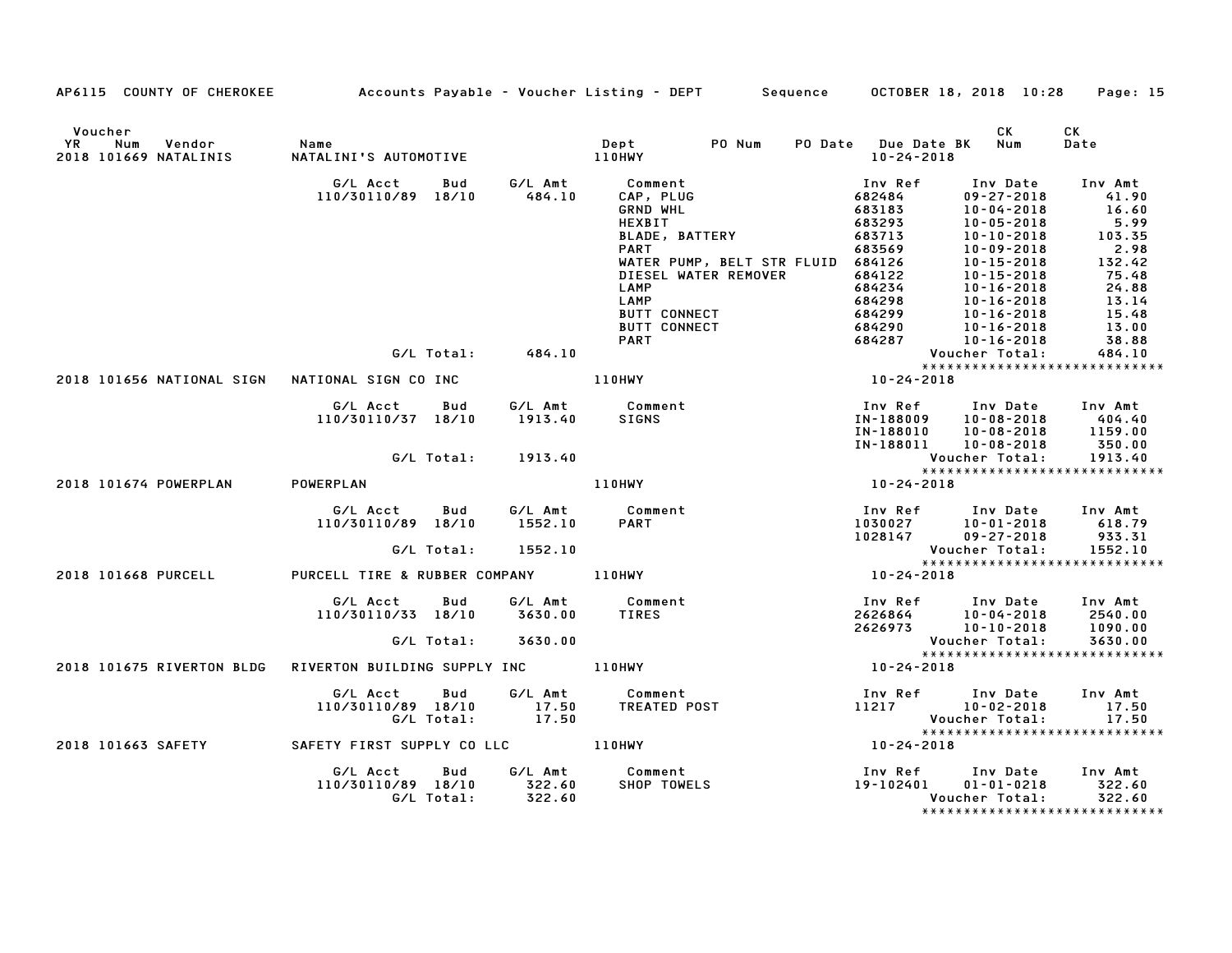| AP6115 COUNTY OF CHEROKEE Accounts Payable - Voucher Listing - DEPT Sequence |                                      |            |                   |                               |                            |                                   | OCTOBER 18, 2018 10:28               | Page: 15                                       |
|------------------------------------------------------------------------------|--------------------------------------|------------|-------------------|-------------------------------|----------------------------|-----------------------------------|--------------------------------------|------------------------------------------------|
| Voucher<br>Num<br>Vendor<br>YR<br>2018 101669 NATALINIS                      | <b>Name</b><br>NATALINI'S AUTOMOTIVE |            |                   | Dept<br>110HWY                | PO Num                     | PO Date Due Date BK<br>10-24-2018 | CK<br>Num                            | CK<br>Date                                     |
|                                                                              | G/L Acct                             | Bud        |                   | G/L Amt Comment               |                            | Inv Ref                           | Inv Date                             | Inv Amt                                        |
|                                                                              | 110/30110/89 18/10                   |            | 484.10            | CAP, PLUG                     |                            | 682484                            | $09 - 27 - 2018$                     | 41.90                                          |
|                                                                              |                                      |            |                   | <b>GRND WHL</b>               |                            | 683183                            | $10 - 04 - 2018$                     | 16.60                                          |
|                                                                              |                                      |            |                   | HEXBIT                        |                            | 683293                            | $10 - 05 - 2018$                     | 5.99                                           |
|                                                                              |                                      |            |                   | BLADE, BATTERY<br><b>PART</b> |                            | 683713<br>683569                  | $10 - 10 - 2018$<br>$10 - 09 - 2018$ | 103.35<br>2.98                                 |
|                                                                              |                                      |            |                   |                               | WATER PUMP, BELT STR FLUID | 684126                            | $10 - 15 - 2018$                     | 132.42                                         |
|                                                                              |                                      |            |                   |                               | DIESEL WATER REMOVER       | 684122                            | $10 - 15 - 2018$                     | 75.48                                          |
|                                                                              |                                      |            |                   | LAMP                          |                            | 684234                            | $10 - 16 - 2018$                     | 24.88                                          |
|                                                                              |                                      |            |                   | LAMP                          |                            | 684298                            | $10 - 16 - 2018$                     | 13.14                                          |
|                                                                              |                                      |            |                   | <b>BUTT CONNECT</b>           |                            | 684299                            | $10 - 16 - 2018$                     | 15.48                                          |
|                                                                              |                                      |            |                   | <b>BUTT CONNECT</b>           |                            | 684290                            | $10 - 16 - 2018$                     | 13.00                                          |
|                                                                              |                                      |            |                   | <b>PART</b>                   |                            | 684287                            | $10 - 16 - 2018$                     | 38.88                                          |
|                                                                              |                                      |            | G/L Total: 484.10 |                               |                            |                                   | Voucher Total:                       | 484.10                                         |
| 2018 101656 NATIONAL SIGN                                                    | NATIONAL SIGN CO INC 110HWY          |            |                   |                               |                            | $10 - 24 - 2018$                  |                                      | *****************************                  |
|                                                                              |                                      |            |                   |                               |                            |                                   |                                      |                                                |
|                                                                              | G/L Acct Bud                         |            |                   | G/L Amt Comment               |                            |                                   | Inv Ref      Inv Date                | Inv Amt                                        |
|                                                                              | 110/30110/37 18/10                   |            | 1913.40           | <b>SIGNS</b>                  |                            | IN-188009                         | $10 - 08 - 2018$                     | 404.40                                         |
|                                                                              |                                      |            |                   |                               |                            | IN-188010                         | $10 - 08 - 2018$                     | 1159.00                                        |
|                                                                              |                                      |            |                   |                               |                            | IN-188011                         | $10 - 08 - 2018$                     | 350.00                                         |
|                                                                              | G/L Total:                           |            | 1913.40           |                               |                            |                                   | Voucher Total:                       | 1913.40                                        |
|                                                                              |                                      |            |                   |                               |                            |                                   |                                      | *****************************                  |
| 2018 101674 POWERPLAN                                                        | POWERPLAN                            |            |                   | <b>110HWY</b>                 |                            | $10 - 24 - 2018$                  |                                      |                                                |
|                                                                              | G/L Acct                             | Bud        |                   | G/L Amt Comment               |                            |                                   | Inv Ref Inv Date                     | Inv Amt                                        |
|                                                                              | 110/30110/89 18/10                   |            | 1552.10           | <b>PART</b>                   |                            |                                   | $10 - 01 - 2018$                     | 618.79                                         |
|                                                                              |                                      |            |                   |                               |                            | 1030027<br>1028147                | $09 - 27 - 2018$                     | 933.31                                         |
|                                                                              |                                      | G/L Total: | 1552.10           |                               |                            |                                   |                                      |                                                |
|                                                                              |                                      |            |                   |                               |                            |                                   |                                      | VOUCNET TV.41.<br>**************************** |
| 2018 101668 PURCELL                                                          | PURCELL TIRE & RUBBER COMPANY 110HWY |            |                   |                               |                            | $10 - 24 - 2018$                  |                                      |                                                |
|                                                                              | G/L Acct                             | Bud        |                   | G/L Amt Comment               |                            |                                   | Inv Ref Inv Date                     | Inv Amt                                        |
|                                                                              | 110/30110/33 18/10                   |            | 3630.00           | TIRES                         |                            | 2626864                           | 10-04-2018                           | 2540.00                                        |
|                                                                              |                                      |            |                   |                               |                            | 2626973                           | $10 - 10 - 2018$                     | 1090.00                                        |
|                                                                              |                                      | G/L Total: | 3630.00           |                               |                            |                                   | Voucher Total:                       | 3630.00                                        |
|                                                                              |                                      |            |                   |                               |                            |                                   |                                      | *****************************                  |
| 2018 101675 RIVERTON BLDG                                                    | RIVERTON BUILDING SUPPLY INC 110HWY  |            |                   |                               |                            | $10 - 24 - 2018$                  |                                      |                                                |
|                                                                              | G/L Acct                             | Bud        |                   | G/L Amt Comment               |                            |                                   | Inv Ref Inv Date                     | Inv Amt                                        |
|                                                                              | 110/30110/89 18/10                   |            | 17.50             | <b>TREATED POST</b>           |                            |                                   | 11217 10-02-2018                     | 17.50                                          |
|                                                                              |                                      | G/L Total: | 17.50             |                               |                            |                                   | Voucher Total:                       | 17.50                                          |
|                                                                              |                                      |            |                   |                               |                            |                                   |                                      | *****************************                  |
| 2018 101663 SAFETY                                                           |                                      |            |                   |                               |                            | $10 - 24 - 2018$                  |                                      |                                                |
|                                                                              | G/L Acct                             | Bud        |                   | G/L Amt Comment               |                            |                                   | Inv Ref      Inv Date     Inv Amt    |                                                |
|                                                                              | 110/30110/89 18/10                   |            | 322.60            | SHOP TOWELS                   |                            | 19-102401                         | $01 - 01 - 0218$                     | 322.60                                         |
|                                                                              |                                      | G/L Total: | 322.60            |                               |                            |                                   | Voucher Total:                       | 322.60                                         |
|                                                                              |                                      |            |                   |                               |                            |                                   |                                      | ******************************                 |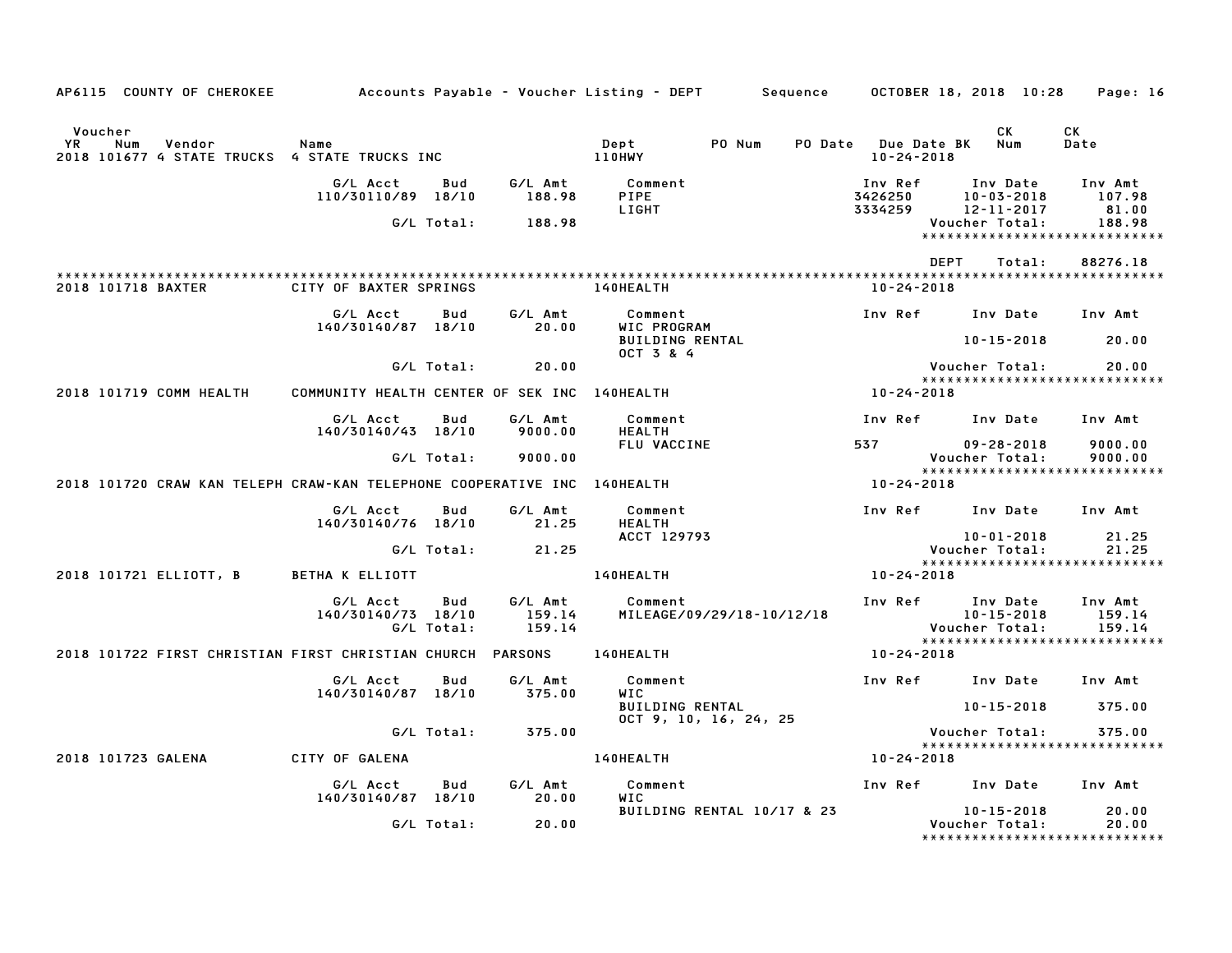| AP6115 COUNTY OF CHEROKEE                                                        |                                              |                   |                             | Accounts Payable – Voucher Listing – DEPT        | Sequence                   |         | OCTOBER 18, 2018 10:28                 |             |                                                |        | Page: 16                                         |  |
|----------------------------------------------------------------------------------|----------------------------------------------|-------------------|-----------------------------|--------------------------------------------------|----------------------------|---------|----------------------------------------|-------------|------------------------------------------------|--------|--------------------------------------------------|--|
| Voucher<br>YR.<br>Num<br>Vendor<br>2018 101677 4 STATE TRUCKS 4 STATE TRUCKS INC | Name                                         |                   |                             | Dept<br>110HWY                                   | PO Num                     | PO Date | <b>Due Date BK</b><br>$10 - 24 - 2018$ |             | СK<br>Num                                      |        | СK<br>Date                                       |  |
|                                                                                  | G/L Acct<br>110/30110/89                     | Bud<br>18/10      | G/L Amt<br>188.98           | Comment<br>PIPE<br>LIGHT                         |                            |         | Inv Ref<br>3426250<br>3334259          |             | Inv Date<br>$10 - 03 - 2018$<br>12-11-2017     |        | Inv Amt<br>107.98<br>81.00                       |  |
|                                                                                  |                                              | G/L Total:        | 188.98                      |                                                  |                            |         |                                        |             | Voucher Total:                                 |        | 188.98<br>******************************         |  |
| 2018 101718 BAXTER                                                               | CITY OF BAXTER SPRINGS                       |                   |                             | 140HEALTH                                        |                            |         | $10 - 24 - 2018$                       | <b>DEPT</b> |                                                | Total: | 88276.18                                         |  |
|                                                                                  | G/L Acct<br>140/30140/87 18/10               | Bud               | G/L Amt<br>20.00            | Comment<br>WIC PROGRAM<br><b>BUILDING RENTAL</b> |                            |         | Inv Ref                                |             | Inv Date<br>$10 - 15 - 2018$                   |        | Inv Amt<br>20.00                                 |  |
|                                                                                  |                                              |                   |                             | OCT 3 & 4                                        |                            |         |                                        |             |                                                |        |                                                  |  |
|                                                                                  |                                              | G/L Total:        | 20.00                       |                                                  |                            |         |                                        |             | Voucher Total:                                 |        | 20.00<br>*****************************           |  |
| 2018 101719 COMM HEALTH                                                          | COMMUNITY HEALTH CENTER OF SEK INC 140HEALTH |                   |                             |                                                  |                            |         | 10-24-2018                             |             |                                                |        |                                                  |  |
|                                                                                  | G/L Acct<br>140/30140/43 18/10               | Bud               | G/L Amt<br>9000.00          | Comment<br><b>HEALTH</b>                         |                            |         | Inv Ref                                |             | Inv Date                                       |        | Inv Amt                                          |  |
|                                                                                  |                                              | G/L Total:        | 9000.00                     | FLU VACCINE                                      |                            |         | 537                                    |             | $09 - 28 - 2018$<br>Voucher Total:             |        | 9000.00<br>9000.00                               |  |
| 2018 101720 CRAW KAN TELEPH CRAW-KAN TELEPHONE COOPERATIVE INC 140HEALTH         |                                              |                   |                             |                                                  |                            |         | 10-24-2018                             |             |                                                |        | *****************************                    |  |
|                                                                                  | G/L Acct                                     | Bud               | G/L Amt                     | Comment                                          |                            |         | Inv Ref                                |             | Inv Date                                       |        | Inv Amt                                          |  |
|                                                                                  | 140/30140/76 18/10                           |                   | 21.25                       | <b>HEALTH</b><br>ACCT 129793                     |                            |         |                                        |             | $10 - 01 - 2018$                               |        | 21.25                                            |  |
|                                                                                  |                                              | G/L Total:        | 21.25                       |                                                  |                            |         |                                        |             | Voucher Total:                                 |        | 21.25<br>******************************          |  |
| 2018 101721 ELLIOTT, B                                                           | BETHA K ELLIOTT                              |                   |                             | 140HEALTH                                        |                            |         | 10-24-2018                             |             |                                                |        |                                                  |  |
|                                                                                  | G/L Acct<br>140/30140/73 18/10               | Bud<br>G/L Total: | G/L Amt<br>159.14<br>159.14 | Comment                                          | MILEAGE/09/29/18-10/12/18  |         | Inv Ref                                |             | Inv Date<br>$10 - 15 - 2018$<br>Voucher Total: |        | Inv Amt<br>159.14<br>159.14                      |  |
| 2018 101722 FIRST CHRISTIAN FIRST CHRISTIAN CHURCH PARSONS                       |                                              |                   |                             | 140HEALTH                                        |                            |         | 10-24-2018                             |             |                                                |        | *****************************                    |  |
|                                                                                  | G/L Acct<br>140/30140/87 18/10               | Bud               | G/L Amt<br>375.00           | Comment<br>WIC                                   |                            |         | Inv Ref                                |             | Inv Date                                       |        | Inv Amt                                          |  |
|                                                                                  |                                              |                   |                             | <b>BUILDING RENTAL</b>                           | $0CT$ 9, 10, 16, 24, 25    |         |                                        |             | $10 - 15 - 2018$                               |        | 375.00                                           |  |
|                                                                                  |                                              | G/L Total:        | 375.00                      |                                                  |                            |         |                                        |             | Voucher Total:                                 |        | 375.00<br>*****************************          |  |
| 2018 101723 GALENA                                                               | CITY OF GALENA                               |                   |                             | 140HEALTH                                        |                            |         | 10-24-2018                             |             |                                                |        |                                                  |  |
|                                                                                  | G/L Acct<br>140/30140/87 18/10               | Bud               | G/L Amt<br>20.00            | Comment<br><b>WIC</b>                            |                            |         | Inv Ref                                |             | Inv Date                                       |        | Inv Amt                                          |  |
|                                                                                  |                                              | G/L Total:        | 20.00                       |                                                  | BUILDING RENTAL 10/17 & 23 |         |                                        |             | $10 - 15 - 2018$<br>Voucher Total:             |        | 20.00<br>20.00<br>****************************** |  |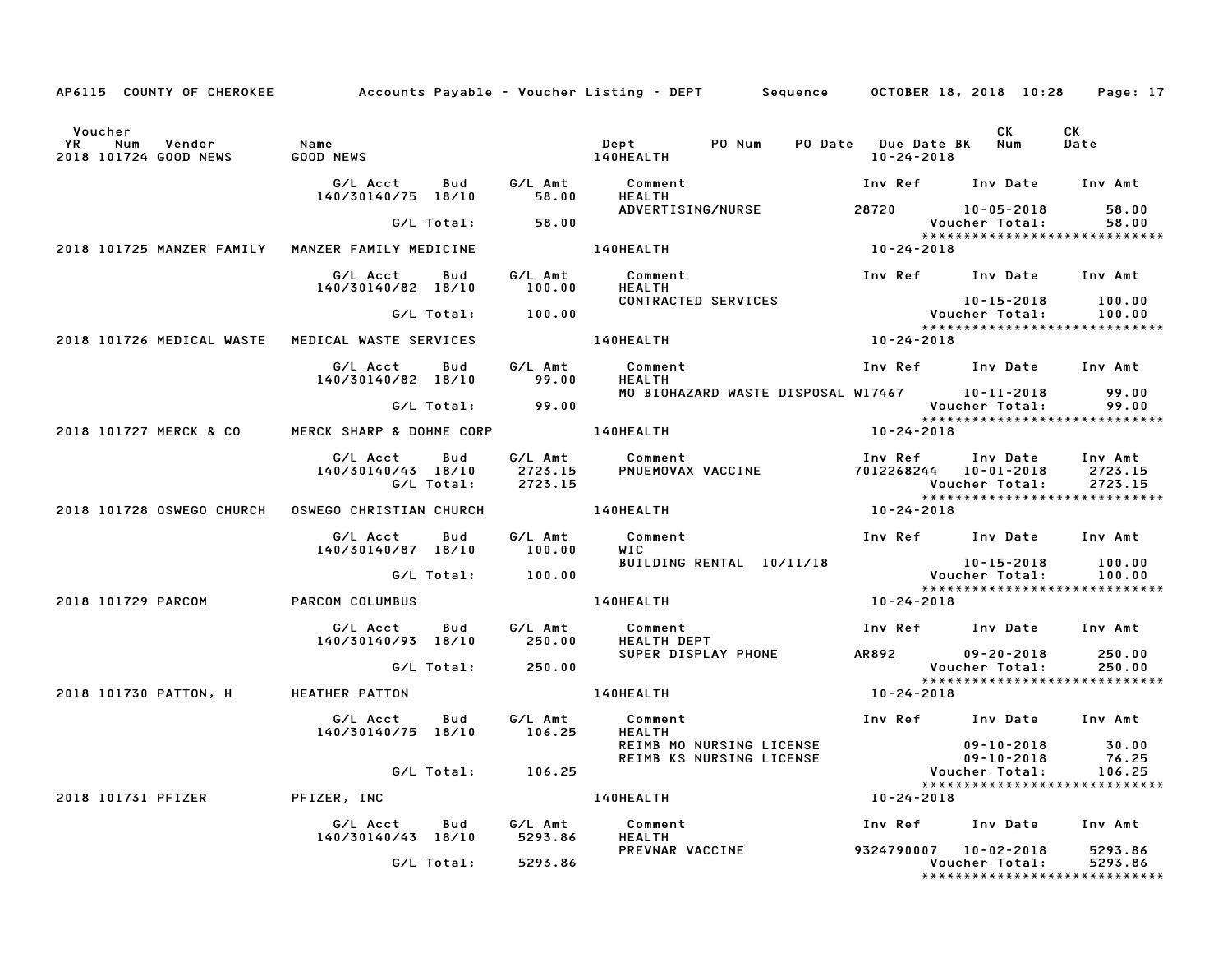| AP6115 COUNTY OF CHEROKEE Accounts Payable - Voucher Listing - DEPT Sequence OCTOBER 18, 2018 10:28 |                                                                   |                    |                                               |                                                                                              |  |                                                  |                                                                                                                                                                                                                                                                     | Page: 17       |
|-----------------------------------------------------------------------------------------------------|-------------------------------------------------------------------|--------------------|-----------------------------------------------|----------------------------------------------------------------------------------------------|--|--------------------------------------------------|---------------------------------------------------------------------------------------------------------------------------------------------------------------------------------------------------------------------------------------------------------------------|----------------|
| Voucher<br><b>YR</b><br>Num<br>Vendor<br>2018 101724 GOOD NEWS                                      | Name                                                              |                    |                                               |                                                                                              |  | 10-24-2018                                       | <b>CK</b><br>PO Date Due Date BK Num                                                                                                                                                                                                                                | CK<br>Date     |
|                                                                                                     | 140/30140/75 18/10                                                |                    |                                               |                                                                                              |  |                                                  | Inv Ref Inv Date Inv Amt                                                                                                                                                                                                                                            |                |
|                                                                                                     |                                                                   | G/L Total: 58.00   |                                               |                                                                                              |  |                                                  | ADVERTISING/NURSE 28720 10-05-2018<br>Voucher Total:                                                                                                                                                                                                                | 58.00<br>58.00 |
|                                                                                                     |                                                                   |                    |                                               |                                                                                              |  | $rac{60}{x}$<br>x $x \times x$<br>10 - 24 - 2018 | *****************************                                                                                                                                                                                                                                       |                |
| 2018 101725 MANZER FAMILY MANZER FAMILY MEDICINE                                                    |                                                                   |                    | 140HEALTH                                     |                                                                                              |  |                                                  |                                                                                                                                                                                                                                                                     |                |
|                                                                                                     | G/L Acct Bud<br>140/30140/82 18/10                                |                    | CONTRACTED SERVICES                           |                                                                                              |  |                                                  | Inv Ref Inv Date Inv Amt                                                                                                                                                                                                                                            |                |
|                                                                                                     |                                                                   | G/L Total: 100.00  |                                               |                                                                                              |  |                                                  | 10-15-2018 100.00<br>Voucher Total: 100.00<br>*****************************                                                                                                                                                                                         |                |
| 2018 101726 MEDICAL WASTE MEDICAL WASTE SERVICES                                                    |                                                                   |                    | 140HEALTH                                     |                                                                                              |  | $10 - 24 - 2018$                                 |                                                                                                                                                                                                                                                                     |                |
|                                                                                                     | G/L Acct   Bud   G/L Amt<br>140/30140/82 18/10 99.00              |                    | Comment<br><b>HEALTH</b>                      |                                                                                              |  |                                                  | Inv Ref Inv Date Inv Amt                                                                                                                                                                                                                                            |                |
|                                                                                                     |                                                                   | G/L Total: 99.00   |                                               |                                                                                              |  |                                                  | MO BIOHAZARD WASTE DISPOSAL W17467 10–11–2018<br>Voucher Total:<br>*****************************                                                                                                                                                                    | 99.00<br>99.00 |
| 2018 101727 MERCK & CO                                                                              | MERCK SHARP & DOHME CORP 140HEALTH                                |                    |                                               |                                                                                              |  | $10 - 24 - 2018$                                 |                                                                                                                                                                                                                                                                     |                |
|                                                                                                     |                                                                   |                    |                                               |                                                                                              |  |                                                  | G/L Acct Bud G/L Amt Comment Inv Ref Inv Date Inv Amt<br>140/30140/43 18/10 2723.15 PNUEMOVAX VACCINE 7012268244 10-01-2018 2723.15<br>G/L Total: 2723.15 PNUEMOVAX VACCINE 7012268244 10-01-2018 2723.15<br>Voucher Total: 2723.15<br>**************************** |                |
|                                                                                                     |                                                                   |                    |                                               |                                                                                              |  | $10 - 24 - 2018$                                 |                                                                                                                                                                                                                                                                     |                |
|                                                                                                     | G/L Acct Bud<br>140/30140/87 18/10 100.00                         | G/L Amt            | Comment                                       |                                                                                              |  |                                                  | Inv Ref Inv Date Inv Amt                                                                                                                                                                                                                                            |                |
|                                                                                                     |                                                                   | G/L Total: 100.00  |                                               |                                                                                              |  |                                                  |                                                                                                                                                                                                                                                                     |                |
| 2018 101729 PARCOM                                                                                  | PARCOM COLUMBUS                                                   |                    | <b>140HEALTH</b>                              |                                                                                              |  |                                                  |                                                                                                                                                                                                                                                                     |                |
|                                                                                                     |                                                                   |                    |                                               |                                                                                              |  |                                                  | G/L Acct    Bud      G/L Amt        Comment                          Inv Ref     Inv Date    Inv Amt<br>140/30140/93   18/10         250.00      HEALTH DEPT                           Inv Ref                                                                      |                |
|                                                                                                     |                                                                   | G/L Total: 250.00  |                                               |                                                                                              |  |                                                  | SUPER DISPLAY PHONE 4R892 09-20-2018 250.00<br>Voucher Total:                                                                                                                                                                                                       | 250.00         |
| 2018 101730 PATTON, H HEATHER PATTON                                                                |                                                                   |                    | 140HEALTH                                     |                                                                                              |  | $10 - 24 - 2018$                                 | *****************************                                                                                                                                                                                                                                       |                |
|                                                                                                     | 140/30140/75 18/10 106.25                                         |                    | G/L Acct Bud G/L Amt Comment<br><b>HEALTH</b> |                                                                                              |  |                                                  | Inv Ref Inv Date Inv Amt                                                                                                                                                                                                                                            |                |
|                                                                                                     |                                                                   |                    |                                               | REIMB MO NURSING LICENSE 09-10-2018<br>REIMB KS NURSING LICENSE 09-10-2018<br>Voucher Total: |  |                                                  |                                                                                                                                                                                                                                                                     | 30.00<br>76.25 |
|                                                                                                     |                                                                   | G/L Total: 106.25  |                                               |                                                                                              |  |                                                  |                                                                                                                                                                                                                                                                     | 106.25         |
| 2018 101731 PFIZER PFIZER, INC                                                                      |                                                                   |                    | 140HEALTH                                     |                                                                                              |  | $10 - 24 - 2018$                                 |                                                                                                                                                                                                                                                                     |                |
|                                                                                                     | G/L Acct Bud G/L Amt Comment<br>140/30140/43 18/10 5293.86 HEALTH |                    |                                               |                                                                                              |  |                                                  | Inv Ref Inv Date Inv Amt                                                                                                                                                                                                                                            |                |
|                                                                                                     |                                                                   | G/L Total: 5293.86 | PREVNAR VACCINE 9324790007 10-02-2018 5293.86 |                                                                                              |  |                                                  | Voucher Total: 5293.86<br>*****************************                                                                                                                                                                                                             |                |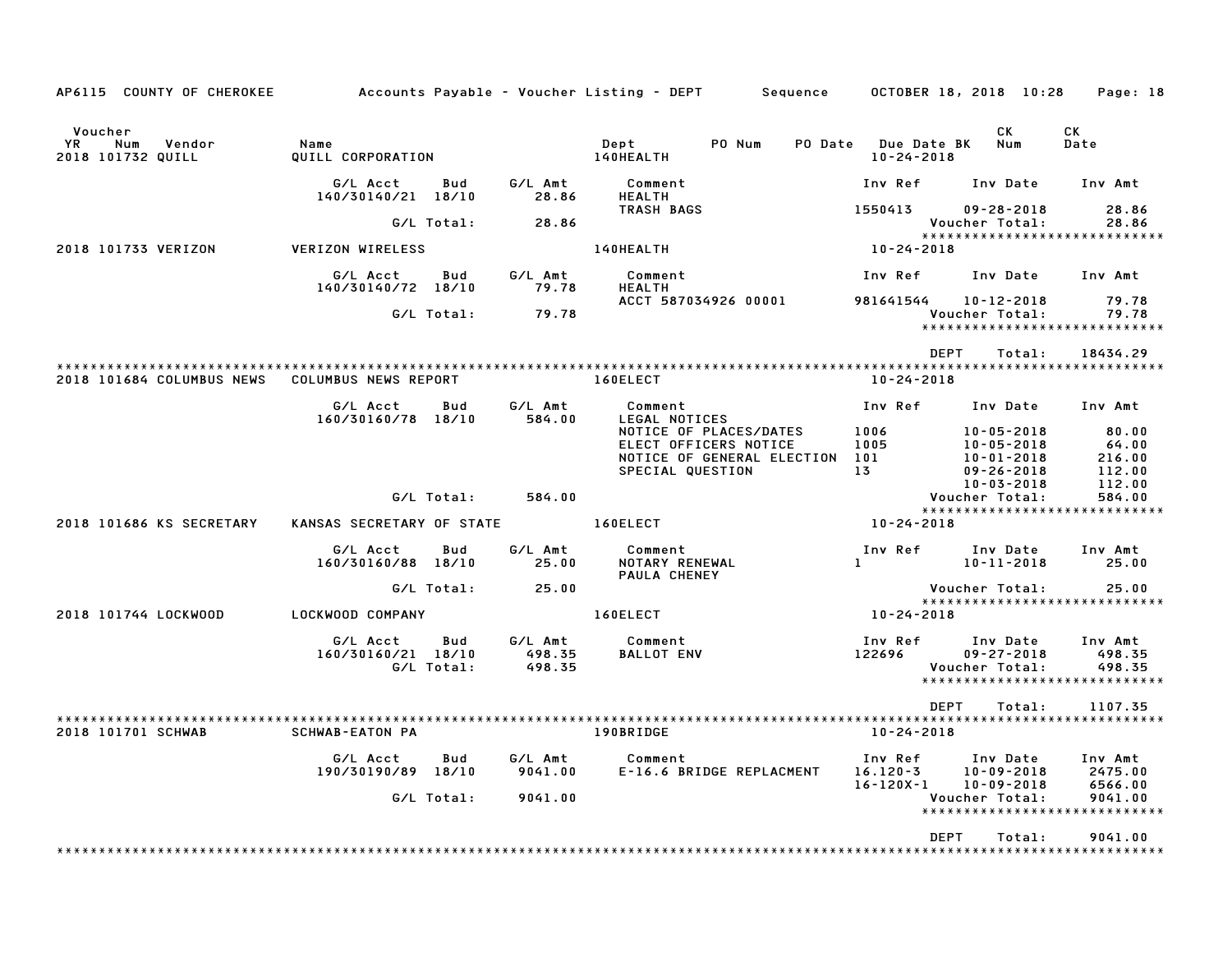| AP6115 COUNTY OF CHEROKEE                           |                                |                   |                             | Accounts Payable – Voucher Listing – DEPT<br>Sequence |                                             | OCTOBER 18, 2018 10:28                                   | Page: 18                                                     |  |
|-----------------------------------------------------|--------------------------------|-------------------|-----------------------------|-------------------------------------------------------|---------------------------------------------|----------------------------------------------------------|--------------------------------------------------------------|--|
| Voucher<br>YR<br>Num<br>Vendor<br>2018 101732 QUILL | Name<br>QUILL CORPORATION      |                   |                             | Dept<br>PO Num<br>140HEALTH                           | PO Date Due Date BK<br>$10 - 24 - 2018$     | CK.<br>Num                                               | СK<br>Date                                                   |  |
|                                                     | G/L Acct<br>140/30140/21 18/10 | Bud               | G/L Amt<br>28.86            | Comment<br>HEALTH                                     | Inv Ref                                     | Inv Date                                                 | Inv Amt                                                      |  |
|                                                     |                                | G/L Total:        | 28.86                       | TRASH BAGS                                            | 1550413                                     | $09 - 28 - 2018$<br>Voucher Total:                       | 28.86<br>28.86                                               |  |
| 2018 101733 VERIZON                                 | <b>VERIZON WIRELESS</b>        |                   |                             | 140HEALTH                                             | 10-24-2018                                  |                                                          | *****************************                                |  |
|                                                     | G/L Acct<br>140/30140/72 18/10 | Bud               | G/L Amt<br>79.78            | Comment<br><b>HEALTH</b>                              | Inv Ref                                     | Inv Date                                                 | Inv Amt                                                      |  |
|                                                     |                                | G/L Total:        | 79.78                       | ACCT 587034926 00001                                  | 981641544                                   | 10-12-2018<br>Voucher Total:                             | 79.78<br>79.78<br>*****************************              |  |
|                                                     |                                |                   |                             |                                                       | <b>DEPT</b>                                 | Total:                                                   | 18434.29                                                     |  |
| 2018 101684 COLUMBUS NEWS                           | COLUMBUS NEWS REPORT           |                   |                             | 160ELECT                                              | $10 - 24 - 2018$                            |                                                          |                                                              |  |
|                                                     | G/L Acct<br>160/30160/78 18/10 | Bud               | G/L Amt<br>584.00           | Comment<br>LEGAL NOTICES                              | Inv Ref                                     | Inv Date                                                 | Inv Amt                                                      |  |
|                                                     |                                |                   |                             | NOTICE OF PLACES/DATES<br>ELECT OFFICERS NOTICE       | 1006<br>1005                                | $10 - 05 - 2018$<br>10-05-2018                           | 80.00<br>64.00                                               |  |
|                                                     |                                |                   |                             | NOTICE OF GENERAL ELECTION 101<br>SPECIAL QUESTION    | 13 <sub>1</sub>                             | $10 - 01 - 2018$<br>$09 - 26 - 2018$<br>$10 - 03 - 2018$ | 216.00<br>112.00<br>112.00                                   |  |
|                                                     |                                | G/L Total:        | 584.00                      |                                                       |                                             | Voucher Total:                                           | 584.00                                                       |  |
| 2018 101686 KS SECRETARY                            | KANSAS SECRETARY OF STATE      |                   |                             | 160ELECT                                              | 10-24-2018                                  | ********************                                     | *********                                                    |  |
|                                                     | G/L Acct<br>160/30160/88 18/10 | Bud               | G/L Amt<br>25.00            | Comment<br>NOTARY RENEWAL<br>PAULA CHENEY             | Inv Ref<br>$\mathbf{1}$                     | Inv Date<br>$10 - 11 - 2018$                             | Inv Amt<br>25.00                                             |  |
|                                                     |                                | G/L Total:        | 25.00                       |                                                       |                                             | Voucher Total:                                           | 25.00                                                        |  |
| 2018 101744 LOCKWOOD                                | LOCKWOOD COMPANY               |                   |                             | 160ELECT                                              | *****************************<br>10-24-2018 |                                                          |                                                              |  |
|                                                     | G/L Acct<br>160/30160/21 18/10 | Bud<br>G/L Total: | G/L Amt<br>498.35<br>498.35 | Comment<br><b>BALLOT ENV</b>                          | Inv Ref<br>122696                           | Inv Date<br>$09 - 27 - 2018$<br>Voucher Total:           | Inv Amt<br>498.35<br>498.35<br>***************************** |  |
|                                                     |                                |                   |                             |                                                       | <b>DEPT</b>                                 | Total:                                                   | 1107.35                                                      |  |
| 2018 101701 SCHWAB                                  | <b>SCHWAB-EATON PA</b>         |                   |                             | 190BRIDGE                                             | $10 - 24 - 2018$                            |                                                          |                                                              |  |
|                                                     | G/L Acct<br>190/30190/89 18/10 | Bud               | G/L Amt<br>9041.00          | Comment<br>E-16.6 BRIDGE REPLACMENT                   | Inv Ref<br>$16.120 - 3$<br>$16 - 120X - 1$  | Inv Date<br>$10 - 09 - 2018$<br>$10 - 09 - 2018$         | Inv Amt<br>2475.00<br>6566.00                                |  |
|                                                     |                                | G/L Total:        | 9041.00                     |                                                       |                                             | Voucher Total:                                           | 9041.00<br>*****************************                     |  |
|                                                     |                                |                   |                             |                                                       | <b>DEPT</b>                                 | Total:                                                   | 9041.00                                                      |  |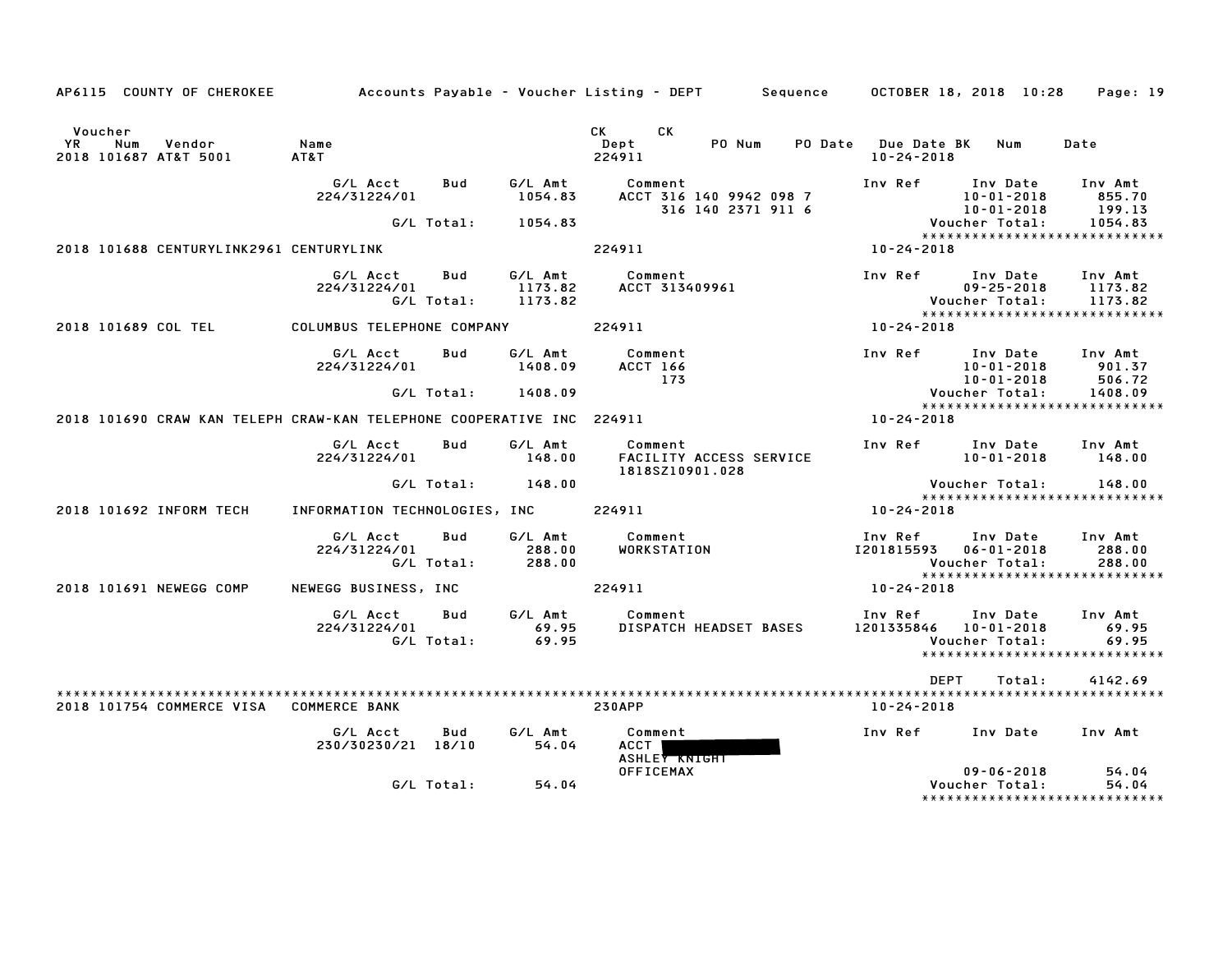| AP6115 COUNTY OF CHEROKEE                                             |                                |                          |                               | Accounts Payable – Voucher Listing – DEPT         Sequence | OCTOBER 18, 2018 10:28                 |                                                  | Page: 19                                                       |
|-----------------------------------------------------------------------|--------------------------------|--------------------------|-------------------------------|------------------------------------------------------------|----------------------------------------|--------------------------------------------------|----------------------------------------------------------------|
| Voucher<br>Num<br>Vendor<br>YR.<br>2018 101687 AT&T 5001              | Name<br>AT&T                   |                          |                               | <b>CK</b><br>CK<br>PO Num<br>Dept<br>PO Date<br>224911     | <b>Due Date BK</b><br>$10 - 24 - 2018$ | Num                                              | Date                                                           |
|                                                                       | G/L Acct<br>224/31224/01       | Bud                      | G/L Amt<br>1054.83            | Comment<br>ACCT 316 140 9942 098 7<br>316 140 2371 911 6   | Inv Ref                                | Inv Date<br>$10 - 01 - 2018$<br>$10 - 01 - 2018$ | Inv Amt<br>855.70<br>199.13                                    |
| 2018 101688 CENTURYLINK2961 CENTURYLINK                               |                                | G/L Total:               | 1054.83                       | 224911                                                     | 10-24-2018                             | Voucher Total:                                   | 1054.83<br>*****************************                       |
|                                                                       | G/L Acct<br>224/31224/01       | <b>Bud</b><br>G/L Total: | G/L Amt<br>1173.82<br>1173.82 | Comment<br>ACCT 313409961                                  | Inv Ref                                | Inv Date<br>$09 - 25 - 2018$<br>Voucher Total:   | Inv Amt<br>1173.82<br>1173.82<br>***************************** |
| 2018 101689 COL TEL                                                   | COLUMBUS TELEPHONE COMPANY     |                          |                               | 224911                                                     | 10-24-2018                             |                                                  |                                                                |
|                                                                       | G/L Acct<br>224/31224/01       | Bud                      | G/L Amt<br>1408.09            | Comment<br>ACCT 166<br>173                                 | Inv Ref                                | Inv Date<br>$10 - 01 - 2018$<br>$10 - 01 - 2018$ | Inv Amt<br>901.37<br>506.72                                    |
|                                                                       |                                | G/L Total:               | 1408.09                       |                                                            |                                        | Voucher Total:                                   | 1408.09<br>*****************************                       |
| 2018 101690 CRAW KAN TELEPH CRAW-KAN TELEPHONE COOPERATIVE INC 224911 |                                |                          |                               |                                                            | 10-24-2018                             |                                                  |                                                                |
|                                                                       | G/L Acct<br>224/31224/01       | Bud                      | G/L Amt<br>148.00             | Comment<br>FACILITY ACCESS SERVICE<br>1818SZ10901.028      | Inv Ref                                | Inv Date<br>$10 - 01 - 2018$                     | Inv Amt<br>148.00                                              |
|                                                                       |                                | G/L Total:               | 148.00                        |                                                            |                                        | Voucher Total:                                   | 148.00<br>*****************************                        |
| 2018 101692 INFORM TECH                                               | INFORMATION TECHNOLOGIES, INC  |                          |                               | 224911                                                     | 10-24-2018                             |                                                  |                                                                |
|                                                                       | G/L Acct<br>224/31224/01       | Bud<br>G/L Total:        | G/L Amt<br>288.00<br>288.00   | Comment<br>WORKSTATION                                     | Inv Ref<br>1201815593                  | Inv Date<br>$06 - 01 - 2018$<br>Voucher Total:   | Inv Amt<br>288.00<br>288.00<br>*****************************   |
| 2018 101691 NEWEGG COMP                                               | NEWEGG BUSINESS, INC           |                          |                               | 224911                                                     | 10-24-2018                             |                                                  |                                                                |
|                                                                       | G/L Acct<br>224/31224/01       | Bud<br>G/L Total:        | G/L Amt<br>69.95<br>69.95     | Comment<br>DISPATCH HEADSET BASES                          | Inv Ref<br>1201335846                  | Inv Date<br>$10 - 01 - 2018$<br>Voucher Total:   | Inv Amt<br>69.95<br>69.95<br>******************************    |
|                                                                       |                                |                          |                               |                                                            | <b>DEPT</b>                            | Total:                                           | 4142.69                                                        |
| 2018 101754 COMMERCE VISA                                             | <b>COMMERCE BANK</b>           |                          |                               | <b>230APP</b>                                              | 10-24-2018                             |                                                  |                                                                |
|                                                                       | G/L Acct<br>230/30230/21 18/10 | Bud                      | G/L Amt<br>54.04              | Comment<br><b>ACCT</b><br><b>ASHLEY KNIGHT</b>             | Inv Ref                                | Inv Date                                         | Inv Amt                                                        |
|                                                                       |                                | G/L Total:               | 54.04                         | <b>OFFICEMAX</b>                                           |                                        | $09 - 06 - 2018$<br>Voucher Total:               | 54.04<br>54.04<br>******************************               |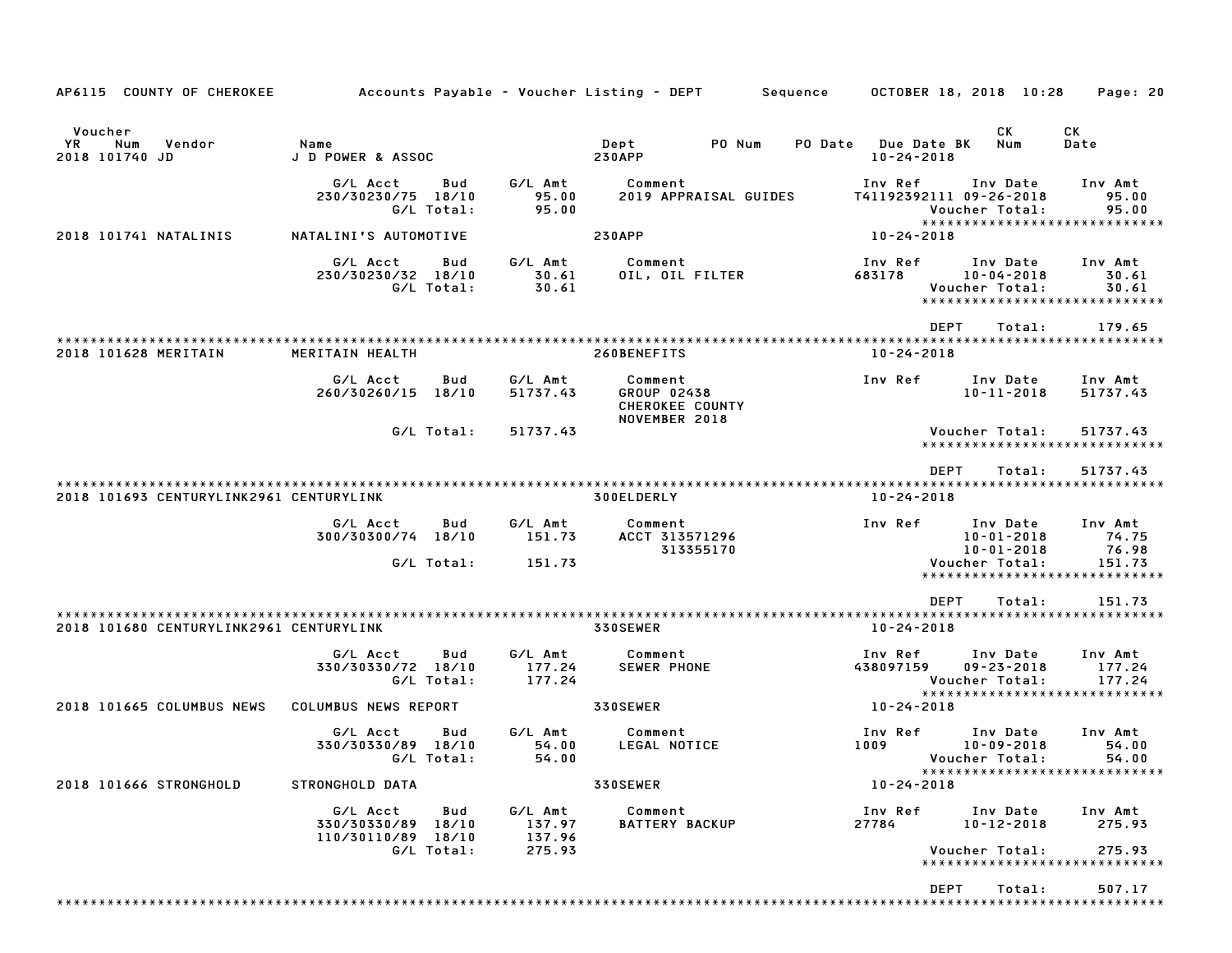| AP6115 COUNTY OF CHEROKEE                               | Accounts Payable – Voucher Listing – DEPT         Sequence         |     |                                       |                                                            |                       |                |                      |                    | OCTOBER 18, 2018 10:28                                | Page: 20                                                     |
|---------------------------------------------------------|--------------------------------------------------------------------|-----|---------------------------------------|------------------------------------------------------------|-----------------------|----------------|----------------------|--------------------|-------------------------------------------------------|--------------------------------------------------------------|
| Voucher<br><b>YR</b><br>Num<br>Vendor<br>2018 101740 JD | Name<br>J D POWER & ASSOC                                          |     |                                       | Dept<br><b>230APP</b>                                      | PO Num                | <b>PO Date</b> | $10 - 24 - 2018$     | <b>Due Date BK</b> | CK.<br>Num                                            | CK<br>Date                                                   |
|                                                         | G/L Acct<br>230/30230/75 18/10<br>G/L Total:                       | Bud | G/L Amt<br>95.00<br>95.00             | Comment                                                    | 2019 APPRAISAL GUIDES |                | Inv Ref              |                    | Inv Date<br>T41192392111 09-26-2018<br>Voucher Total: | Inv Amt<br>95.00<br>95.00<br>*****************************   |
| 2018 101741 NATALINIS                                   | NATALINI'S AUTOMOTIVE                                              |     |                                       | <b>230APP</b>                                              |                       |                | 10-24-2018           |                    |                                                       |                                                              |
|                                                         | G/L Acct<br>230/30230/32 18/10<br>G/L Total:                       | Bud | G/L Amt<br>30.61<br>30.61             | Comment<br>OIL, OIL FILTER                                 |                       |                | Inv Ref<br>683178    |                    | Inv Date<br>$10 - 04 - 2018$<br>Voucher Total:        | Inv Amt<br>30.61<br>30.61<br>*****************************   |
|                                                         |                                                                    |     |                                       |                                                            |                       |                |                      | <b>DEPT</b>        | Total:                                                | 179.65                                                       |
| 2018 101628 MERITAIN                                    | MERITAIN HEALTH                                                    |     |                                       | 260BENEFITS                                                |                       |                | $10 - 24 - 2018$     |                    |                                                       |                                                              |
|                                                         | G/L Acct<br>260/30260/15 18/10                                     | Bud | G/L Amt<br>51737.43                   | Comment<br>GROUP 02438<br>CHEROKEE COUNTY<br>NOVEMBER 2018 |                       |                | Inv Ref              |                    | Inv Date<br>$10 - 11 - 2018$                          | Inv Amt<br>51737.43                                          |
|                                                         | G/L Total:                                                         |     | 51737.43                              |                                                            |                       |                |                      |                    | Voucher Total:                                        | 51737.43<br>******************************                   |
| 2018 101693 CENTURYLINK2961 CENTURYLINK                 |                                                                    |     |                                       | 300ELDERLY                                                 |                       |                | $10 - 24 - 2018$     | <b>DEPT</b>        | Total:                                                | 51737.43                                                     |
|                                                         | G/L Acct<br>300/30300/74 18/10                                     | Bud | G/L Amt<br>151.73                     | Comment<br>ACCT 313571296                                  | 313355170             |                | Inv Ref              |                    | Inv Date<br>$10 - 01 - 2018$<br>$10 - 01 - 2018$      | Inv Amt<br>74.75<br>76.98                                    |
|                                                         | G/L Total:                                                         |     | 151.73                                |                                                            |                       |                |                      |                    | Voucher Total:                                        | 151.73<br>*****************************                      |
| 2018 101680 CENTURYLINK2961 CENTURYLINK                 |                                                                    |     |                                       | 330SEWER                                                   |                       |                | $10 - 24 - 2018$     | <b>DEPT</b>        | Total:                                                | 151.73                                                       |
|                                                         | G/L Acct<br>330/30330/72 18/10<br>G/L Total:                       | Bud | G/L Amt<br>177.24<br>177.24           | Comment<br><b>SEWER PHONE</b>                              |                       |                | Inv Ref<br>438097159 |                    | Inv Date<br>$09 - 23 - 2018$<br>Voucher Total:        | Inv Amt<br>177.24<br>177.24                                  |
| 2018 101665 COLUMBUS NEWS                               | COLUMBUS NEWS REPORT                                               |     |                                       | 330SEWER                                                   |                       |                | 10-24-2018           |                    |                                                       | *****************************                                |
|                                                         | G/L Acct<br>330/30330/89 18/10<br>G/L Total:                       | Bud | G/L Amt<br>54.00<br>54.00             | Comment<br>LEGAL NOTICE                                    |                       |                | Inv Ref<br>1009      |                    | Inv Date<br>$10 - 09 - 2018$<br>Voucher Total:        | Inv Amt<br>54.00<br>54.00                                    |
| 2018 101666 STRONGHOLD                                  | STRONGHOLD DATA                                                    |     |                                       | 330SEWER                                                   |                       |                | $10 - 24 - 2018$     |                    |                                                       | *****************************                                |
|                                                         | G/L Acct<br>330/30330/89 18/10<br>110/30110/89 18/10<br>G/L Total: | Bud | G/L Amt<br>137.97<br>137.96<br>275.93 | Comment<br><b>BATTERY BACKUP</b>                           |                       |                | Inv Ref<br>27784     |                    | Inv Date<br>10-12-2018<br>Voucher Total:              | Inv Amt<br>275.93<br>275.93<br>***************************** |
|                                                         |                                                                    |     |                                       |                                                            |                       |                |                      | <b>DEPT</b>        | Total:                                                | 507.17                                                       |